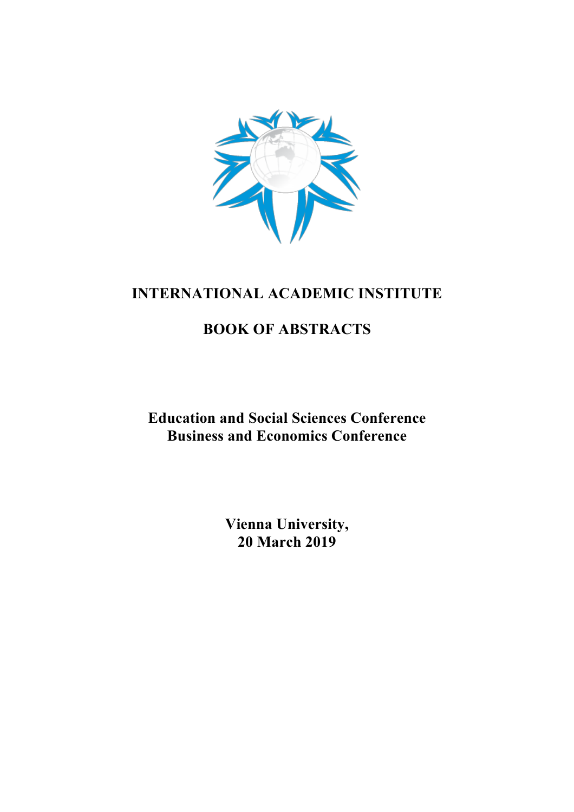

# **INTERNATIONAL ACADEMIC INSTITUTE**

# **BOOK OF ABSTRACTS**

**Education and Social Sciences Conference Business and Economics Conference**

> **Vienna University, 20 March 2019**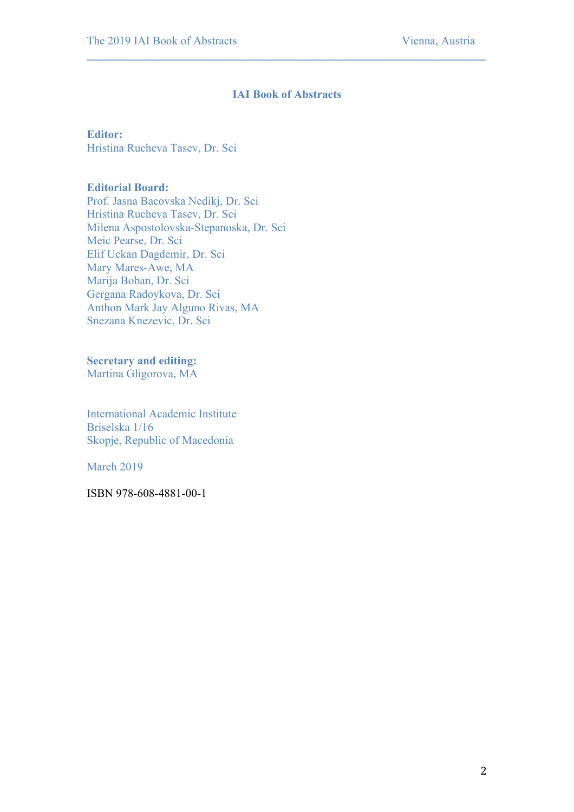# **IAI Book of Abstracts**

 $\mathcal{L} = \{ \mathcal{L} \mathcal{L} \mathcal{L} \mathcal{L} \mathcal{L} \mathcal{L} \mathcal{L} \mathcal{L} \mathcal{L} \mathcal{L} \mathcal{L} \mathcal{L} \mathcal{L} \mathcal{L} \mathcal{L} \mathcal{L} \mathcal{L} \mathcal{L} \mathcal{L} \mathcal{L} \mathcal{L} \mathcal{L} \mathcal{L} \mathcal{L} \mathcal{L} \mathcal{L} \mathcal{L} \mathcal{L} \mathcal{L} \mathcal{L} \mathcal{L} \mathcal{L} \mathcal{L} \mathcal{L} \mathcal{L} \$ 

#### **Editor:**

Hristina Rucheva Tasev, Dr. Sci

# **Editorial Board:**

Prof. Jasna Bacovska Nedikj, Dr. Sci Hristina Rucheva Tasev, Dr. Sci Milena Aspostolovska-Stepanoska, Dr. Sci Meic Pearse, Dr. Sci Elif Uckan Dagdemir, Dr. Sci Mary Mares-Awe, MA Marija Boban, Dr. Sci Gergana Radoykova, Dr. Sci Anthon Mark Jay Alguno Rivas, MA Snezana Knezevic, Dr. Sci

**Secretary and editing:**

Martina Gligorova, MA

International Academic Institute Briselska 1/16 Skopje, Republic of Macedonia

March 2019

ISBN 978-608-4881-00-1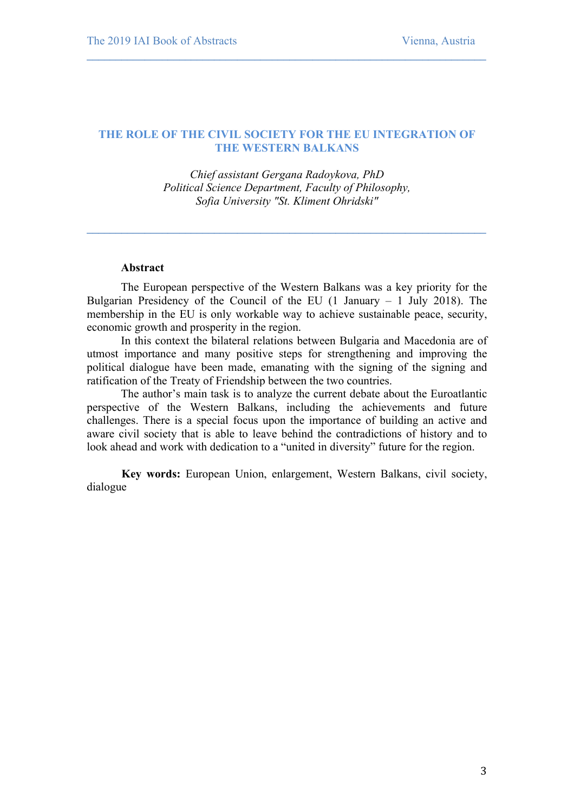# **THE ROLE OF THE CIVIL SOCIETY FOR THE EU INTEGRATION OF THE WESTERN BALKANS**

 $\mathcal{L} = \{ \mathcal{L} \mathcal{L} \mathcal{L} \mathcal{L} \mathcal{L} \mathcal{L} \mathcal{L} \mathcal{L} \mathcal{L} \mathcal{L} \mathcal{L} \mathcal{L} \mathcal{L} \mathcal{L} \mathcal{L} \mathcal{L} \mathcal{L} \mathcal{L} \mathcal{L} \mathcal{L} \mathcal{L} \mathcal{L} \mathcal{L} \mathcal{L} \mathcal{L} \mathcal{L} \mathcal{L} \mathcal{L} \mathcal{L} \mathcal{L} \mathcal{L} \mathcal{L} \mathcal{L} \mathcal{L} \mathcal{L} \$ 

*Chief assistant Gergana Radoykova, PhD Political Science Department, Faculty of Philosophy, Sofia University "St. Kliment Ohridski"*

**\_\_\_\_\_\_\_\_\_\_\_\_\_\_\_\_\_\_\_\_\_\_\_\_\_\_\_\_\_\_\_\_\_\_\_\_\_\_\_\_\_\_\_\_\_\_\_\_\_\_\_\_\_\_\_\_\_\_\_\_\_\_\_\_\_\_\_\_\_**

#### **Abstract**

The European perspective of the Western Balkans was a key priority for the Bulgarian Presidency of the Council of the EU  $(1)$  January – 1 July 2018). The membership in the EU is only workable way to achieve sustainable peace, security, economic growth and prosperity in the region.

In this context the bilateral relations between Bulgaria and Macedonia are of utmost importance and many positive steps for strengthening and improving the political dialogue have been made, emanating with the signing of the signing and ratification of the Treaty of Friendship between the two countries.

The author's main task is to analyze the current debate about the Euroatlantic perspective of the Western Balkans, including the achievements and future challenges. There is a special focus upon the importance of building an active and aware civil society that is able to leave behind the contradictions of history and to look ahead and work with dedication to a "united in diversity" future for the region.

**Key words:** European Union, enlargement, Western Balkans, civil society, dialogue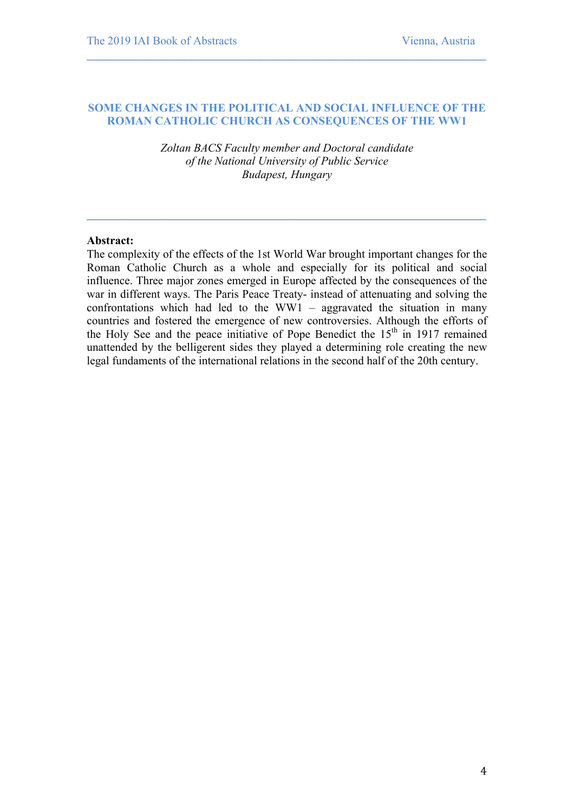### **SOME CHANGES IN THE POLITICAL AND SOCIAL INFLUENCE OF THE ROMAN CATHOLIC CHURCH AS CONSEQUENCES OF THE WW1**

 $\mathcal{L} = \{ \mathcal{L} \mathcal{L} \mathcal{L} \mathcal{L} \mathcal{L} \mathcal{L} \mathcal{L} \mathcal{L} \mathcal{L} \mathcal{L} \mathcal{L} \mathcal{L} \mathcal{L} \mathcal{L} \mathcal{L} \mathcal{L} \mathcal{L} \mathcal{L} \mathcal{L} \mathcal{L} \mathcal{L} \mathcal{L} \mathcal{L} \mathcal{L} \mathcal{L} \mathcal{L} \mathcal{L} \mathcal{L} \mathcal{L} \mathcal{L} \mathcal{L} \mathcal{L} \mathcal{L} \mathcal{L} \mathcal{L} \$ 

*Zoltan BACS Faculty member and Doctoral candidate of the National University of Public Service Budapest, Hungary*

**\_\_\_\_\_\_\_\_\_\_\_\_\_\_\_\_\_\_\_\_\_\_\_\_\_\_\_\_\_\_\_\_\_\_\_\_\_\_\_\_\_\_\_\_\_\_\_\_\_\_\_\_\_\_\_\_\_\_\_\_\_\_\_\_\_\_\_\_\_**

#### **Abstract:**

The complexity of the effects of the 1st World War brought important changes for the Roman Catholic Church as a whole and especially for its political and social influence. Three major zones emerged in Europe affected by the consequences of the war in different ways. The Paris Peace Treaty- instead of attenuating and solving the confrontations which had led to the  $WW1 -$  aggravated the situation in many countries and fostered the emergence of new controversies. Although the efforts of the Holy See and the peace initiative of Pope Benedict the  $15<sup>th</sup>$  in 1917 remained unattended by the belligerent sides they played a determining role creating the new legal fundaments of the international relations in the second half of the 20th century.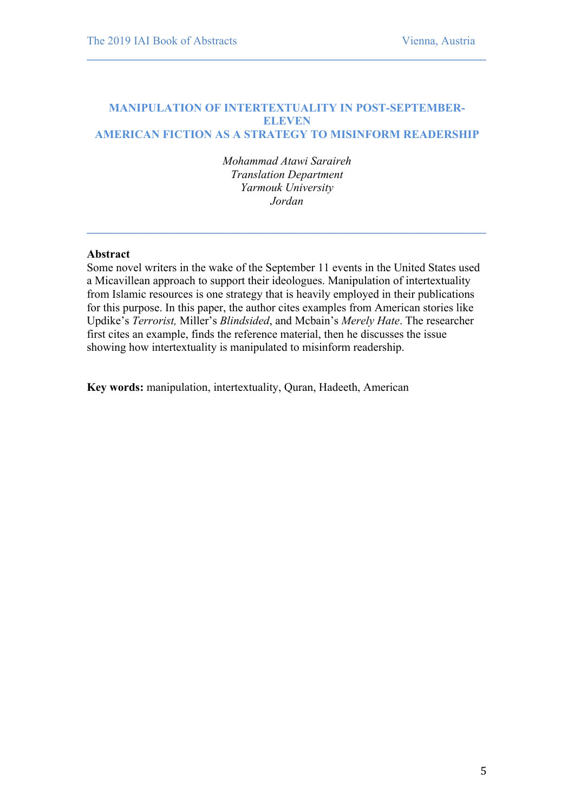#### **MANIPULATION OF INTERTEXTUALITY IN POST-SEPTEMBER-ELEVEN AMERICAN FICTION AS A STRATEGY TO MISINFORM READERSHIP**

 $\mathcal{L} = \{ \mathcal{L} \mathcal{L} \mathcal{L} \mathcal{L} \mathcal{L} \mathcal{L} \mathcal{L} \mathcal{L} \mathcal{L} \mathcal{L} \mathcal{L} \mathcal{L} \mathcal{L} \mathcal{L} \mathcal{L} \mathcal{L} \mathcal{L} \mathcal{L} \mathcal{L} \mathcal{L} \mathcal{L} \mathcal{L} \mathcal{L} \mathcal{L} \mathcal{L} \mathcal{L} \mathcal{L} \mathcal{L} \mathcal{L} \mathcal{L} \mathcal{L} \mathcal{L} \mathcal{L} \mathcal{L} \mathcal{L} \$ 

*Mohammad Atawi Saraireh Translation Department Yarmouk University Jordan*

**\_\_\_\_\_\_\_\_\_\_\_\_\_\_\_\_\_\_\_\_\_\_\_\_\_\_\_\_\_\_\_\_\_\_\_\_\_\_\_\_\_\_\_\_\_\_\_\_\_\_\_\_\_\_\_\_\_\_\_\_\_\_\_\_\_\_\_\_\_**

#### **Abstract**

Some novel writers in the wake of the September 11 events in the United States used a Micavillean approach to support their ideologues. Manipulation of intertextuality from Islamic resources is one strategy that is heavily employed in their publications for this purpose. In this paper, the author cites examples from American stories like Updike's *Terrorist,* Miller's *Blindsided*, and Mcbain's *Merely Hate*. The researcher first cites an example, finds the reference material, then he discusses the issue showing how intertextuality is manipulated to misinform readership.

**Key words:** manipulation, intertextuality, Quran, Hadeeth, American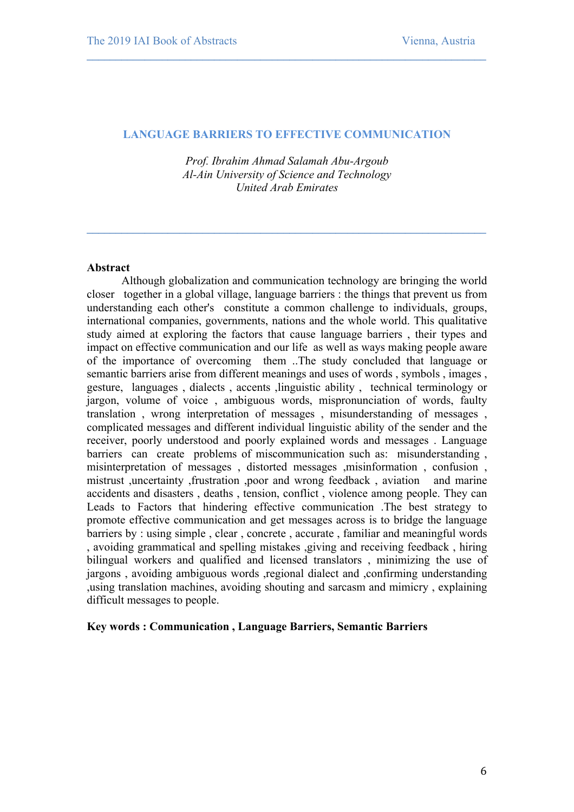# **LANGUAGE BARRIERS TO EFFECTIVE COMMUNICATION**

 $\mathcal{L} = \{ \mathcal{L} \mathcal{L} \mathcal{L} \mathcal{L} \mathcal{L} \mathcal{L} \mathcal{L} \mathcal{L} \mathcal{L} \mathcal{L} \mathcal{L} \mathcal{L} \mathcal{L} \mathcal{L} \mathcal{L} \mathcal{L} \mathcal{L} \mathcal{L} \mathcal{L} \mathcal{L} \mathcal{L} \mathcal{L} \mathcal{L} \mathcal{L} \mathcal{L} \mathcal{L} \mathcal{L} \mathcal{L} \mathcal{L} \mathcal{L} \mathcal{L} \mathcal{L} \mathcal{L} \mathcal{L} \mathcal{L} \$ 

*Prof. Ibrahim Ahmad Salamah Abu-Argoub Al-Ain University of Science and Technology United Arab Emirates*

**\_\_\_\_\_\_\_\_\_\_\_\_\_\_\_\_\_\_\_\_\_\_\_\_\_\_\_\_\_\_\_\_\_\_\_\_\_\_\_\_\_\_\_\_\_\_\_\_\_\_\_\_\_\_\_\_\_\_\_\_\_\_\_\_\_\_\_\_\_**

#### **Abstract**

Although globalization and communication technology are bringing the world closer together in a global village, language barriers : the things that prevent us from understanding each other's constitute a common challenge to individuals, groups, international companies, governments, nations and the whole world. This qualitative study aimed at exploring the factors that cause language barriers , their types and impact on effective communication and our life as well as ways making people aware of the importance of overcoming them ..The study concluded that language or semantic barriers arise from different meanings and uses of words , symbols , images , gesture, languages , dialects , accents ,linguistic ability , technical terminology or jargon, volume of voice , ambiguous words, mispronunciation of words, faulty translation , wrong interpretation of messages , misunderstanding of messages , complicated messages and different individual linguistic ability of the sender and the receiver, poorly understood and poorly explained words and messages . Language barriers can create problems of miscommunication such as: misunderstanding, misinterpretation of messages , distorted messages ,misinformation , confusion , mistrust ,uncertainty ,frustration ,poor and wrong feedback , aviation and marine accidents and disasters , deaths , tension, conflict , violence among people. They can Leads to Factors that hindering effective communication .The best strategy to promote effective communication and get messages across is to bridge the language barriers by : using simple , clear , concrete , accurate , familiar and meaningful words , avoiding grammatical and spelling mistakes ,giving and receiving feedback , hiring bilingual workers and qualified and licensed translators , minimizing the use of jargons , avoiding ambiguous words ,regional dialect and ,confirming understanding ,using translation machines, avoiding shouting and sarcasm and mimicry , explaining difficult messages to people.

#### **Key words : Communication , Language Barriers, Semantic Barriers**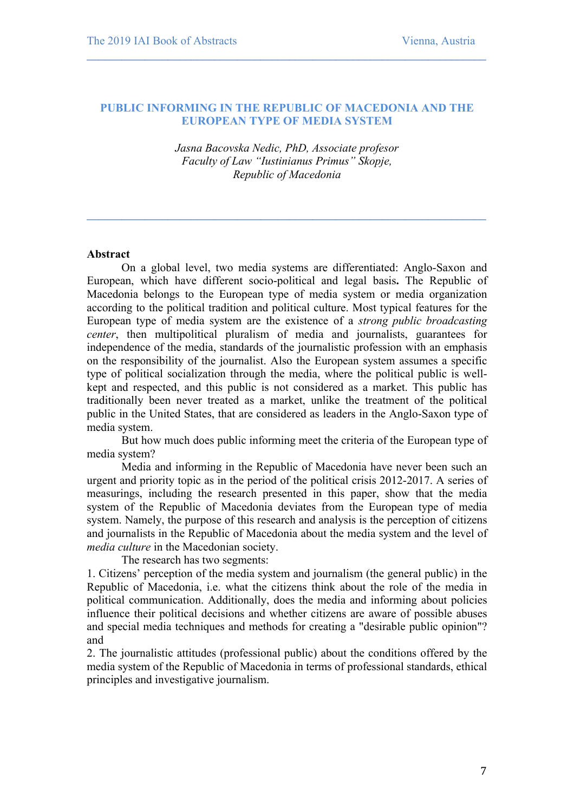#### **PUBLIC INFORMING IN THE REPUBLIC OF MACEDONIA AND THE EUROPEAN TYPE OF MEDIA SYSTEM**

 $\mathcal{L} = \{ \mathcal{L} \mathcal{L} \mathcal{L} \mathcal{L} \mathcal{L} \mathcal{L} \mathcal{L} \mathcal{L} \mathcal{L} \mathcal{L} \mathcal{L} \mathcal{L} \mathcal{L} \mathcal{L} \mathcal{L} \mathcal{L} \mathcal{L} \mathcal{L} \mathcal{L} \mathcal{L} \mathcal{L} \mathcal{L} \mathcal{L} \mathcal{L} \mathcal{L} \mathcal{L} \mathcal{L} \mathcal{L} \mathcal{L} \mathcal{L} \mathcal{L} \mathcal{L} \mathcal{L} \mathcal{L} \mathcal{L} \$ 

*Jasna Bacovska Nedic, PhD, Associate profesor Faculty of Law "Iustinianus Primus" Skopje, Republic of Macedonia*

**\_\_\_\_\_\_\_\_\_\_\_\_\_\_\_\_\_\_\_\_\_\_\_\_\_\_\_\_\_\_\_\_\_\_\_\_\_\_\_\_\_\_\_\_\_\_\_\_\_\_\_\_\_\_\_\_\_\_\_\_\_\_\_\_\_\_\_\_\_**

#### **Abstract**

On a global level, two media systems are differentiated: Anglo-Saxon and European, which have different socio-political and legal basis**.** The Republic of Macedonia belongs to the European type of media system or media organization according to the political tradition and political culture. Most typical features for the European type of media system are the existence of a *strong public broadcasting center*, then multipolitical pluralism of media and journalists, guarantees for independence of the media, standards of the journalistic profession with an emphasis on the responsibility of the journalist. Also the European system assumes a specific type of political socialization through the media, where the political public is wellkept and respected, and this public is not considered as a market. This public has traditionally been never treated as a market, unlike the treatment of the political public in the United States, that are considered as leaders in the Anglo-Saxon type of media system.

But how much does public informing meet the criteria of the European type of media system?

Media and informing in the Republic of Macedonia have never been such an urgent and priority topic as in the period of the political crisis 2012-2017. A series of measurings, including the research presented in this paper, show that the media system of the Republic of Macedonia deviates from the European type of media system. Namely, the purpose of this research and analysis is the perception of citizens and journalists in the Republic of Macedonia about the media system and the level of *media culture* in the Macedonian society.

The research has two segments:

1. Citizens' perception of the media system and journalism (the general public) in the Republic of Macedonia, i.e. what the citizens think about the role of the media in political communication. Additionally, does the media and informing about policies influence their political decisions and whether citizens are aware of possible abuses and special media techniques and methods for creating a "desirable public opinion"? and

2. The journalistic attitudes (professional public) about the conditions offered by the media system of the Republic of Macedonia in terms of professional standards, ethical principles and investigative journalism.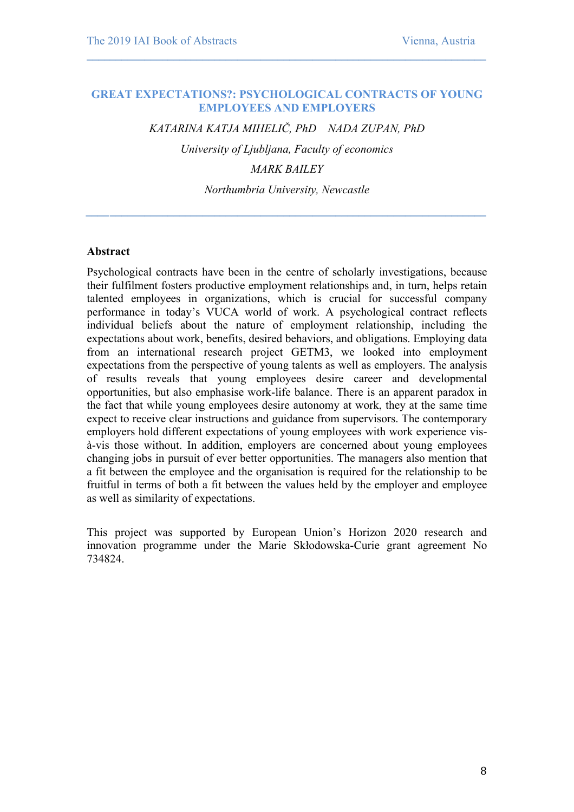#### **GREAT EXPECTATIONS?: PSYCHOLOGICAL CONTRACTS OF YOUNG EMPLOYEES AND EMPLOYERS**

 $\mathcal{L} = \{ \mathcal{L} \mathcal{L} \mathcal{L} \mathcal{L} \mathcal{L} \mathcal{L} \mathcal{L} \mathcal{L} \mathcal{L} \mathcal{L} \mathcal{L} \mathcal{L} \mathcal{L} \mathcal{L} \mathcal{L} \mathcal{L} \mathcal{L} \mathcal{L} \mathcal{L} \mathcal{L} \mathcal{L} \mathcal{L} \mathcal{L} \mathcal{L} \mathcal{L} \mathcal{L} \mathcal{L} \mathcal{L} \mathcal{L} \mathcal{L} \mathcal{L} \mathcal{L} \mathcal{L} \mathcal{L} \mathcal{L} \$ 

*KATARINA KATJA MIHELIČ, PhD NADA ZUPAN, PhD University of Ljubljana, Faculty of economics MARK BAILEY Northumbria University, Newcastle*

*\_\_\_\_***\_\_\_\_\_\_\_\_\_\_\_\_\_\_\_\_\_\_\_\_\_\_\_\_\_\_\_\_\_\_\_\_\_\_\_\_\_\_\_\_\_\_\_\_\_\_\_\_\_\_\_\_\_\_\_\_\_\_\_\_\_\_\_\_\_**

#### **Abstract**

Psychological contracts have been in the centre of scholarly investigations, because their fulfilment fosters productive employment relationships and, in turn, helps retain talented employees in organizations, which is crucial for successful company performance in today's VUCA world of work. A psychological contract reflects individual beliefs about the nature of employment relationship, including the expectations about work, benefits, desired behaviors, and obligations. Employing data from an international research project GETM3, we looked into employment expectations from the perspective of young talents as well as employers. The analysis of results reveals that young employees desire career and developmental opportunities, but also emphasise work-life balance. There is an apparent paradox in the fact that while young employees desire autonomy at work, they at the same time expect to receive clear instructions and guidance from supervisors. The contemporary employers hold different expectations of young employees with work experience visà-vis those without. In addition, employers are concerned about young employees changing jobs in pursuit of ever better opportunities. The managers also mention that a fit between the employee and the organisation is required for the relationship to be fruitful in terms of both a fit between the values held by the employer and employee as well as similarity of expectations.

This project was supported by European Union's Horizon 2020 research and innovation programme under the Marie Skłodowska-Curie grant agreement No 734824.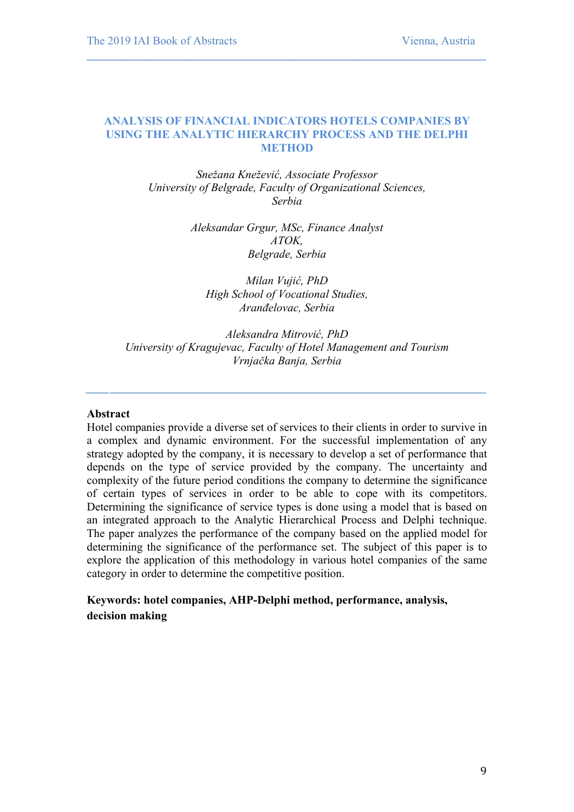# **ANALYSIS OF FINANCIAL INDICATORS HOTELS COMPANIES BY USING THE ANALYTIC HIERARCHY PROCESS AND THE DELPHI METHOD**

 $\mathcal{L} = \{ \mathcal{L} \mathcal{L} \mathcal{L} \mathcal{L} \mathcal{L} \mathcal{L} \mathcal{L} \mathcal{L} \mathcal{L} \mathcal{L} \mathcal{L} \mathcal{L} \mathcal{L} \mathcal{L} \mathcal{L} \mathcal{L} \mathcal{L} \mathcal{L} \mathcal{L} \mathcal{L} \mathcal{L} \mathcal{L} \mathcal{L} \mathcal{L} \mathcal{L} \mathcal{L} \mathcal{L} \mathcal{L} \mathcal{L} \mathcal{L} \mathcal{L} \mathcal{L} \mathcal{L} \mathcal{L} \mathcal{L} \$ 

*Snežana Knežević, Associate Professor University of Belgrade, Faculty of Organizational Sciences, Serbia*

> *Aleksandar Grgur, MSc, Finance Analyst ATOK, Belgrade, Serbia*

*Milan Vujić, PhD High School of Vocational Studies, Aranđelovac, Serbia*

*Aleksandra Mitrović, PhD University of Kragujevac, Faculty of Hotel Management and Tourism Vrnjačka Banja, Serbia*

*\_\_\_\_***\_\_\_\_\_\_\_\_\_\_\_\_\_\_\_\_\_\_\_\_\_\_\_\_\_\_\_\_\_\_\_\_\_\_\_\_\_\_\_\_\_\_\_\_\_\_\_\_\_\_\_\_\_\_\_\_\_\_\_\_\_\_\_\_\_**

#### **Abstract**

Hotel companies provide a diverse set of services to their clients in order to survive in a complex and dynamic environment. For the successful implementation of any strategy adopted by the company, it is necessary to develop a set of performance that depends on the type of service provided by the company. The uncertainty and complexity of the future period conditions the company to determine the significance of certain types of services in order to be able to cope with its competitors. Determining the significance of service types is done using a model that is based on an integrated approach to the Analytic Hierarchical Process and Delphi technique. The paper analyzes the performance of the company based on the applied model for determining the significance of the performance set. The subject of this paper is to explore the application of this methodology in various hotel companies of the same category in order to determine the competitive position.

**Keywords: hotel companies, AHP-Delphi method, performance, analysis, decision making**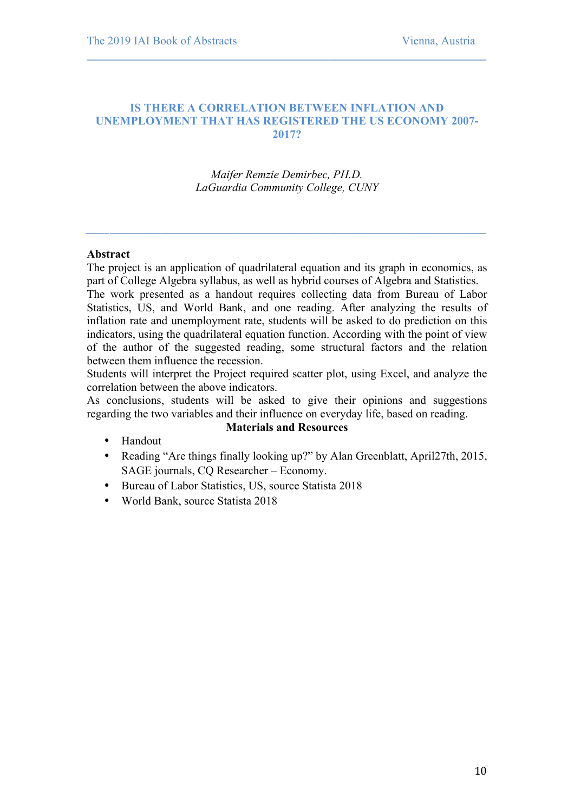#### **IS THERE A CORRELATION BETWEEN INFLATION AND UNEMPLOYMENT THAT HAS REGISTERED THE US ECONOMY 2007- 2017?**

 $\mathcal{L} = \{ \mathcal{L} \mathcal{L} \mathcal{L} \mathcal{L} \mathcal{L} \mathcal{L} \mathcal{L} \mathcal{L} \mathcal{L} \mathcal{L} \mathcal{L} \mathcal{L} \mathcal{L} \mathcal{L} \mathcal{L} \mathcal{L} \mathcal{L} \mathcal{L} \mathcal{L} \mathcal{L} \mathcal{L} \mathcal{L} \mathcal{L} \mathcal{L} \mathcal{L} \mathcal{L} \mathcal{L} \mathcal{L} \mathcal{L} \mathcal{L} \mathcal{L} \mathcal{L} \mathcal{L} \mathcal{L} \mathcal{L} \$ 

*Maifer Remzie Demirbec, PH.D. LaGuardia Community College, CUNY*

#### **Abstract**

The project is an application of quadrilateral equation and its graph in economics, as part of College Algebra syllabus, as well as hybrid courses of Algebra and Statistics.

*\_\_\_\_***\_\_\_\_\_\_\_\_\_\_\_\_\_\_\_\_\_\_\_\_\_\_\_\_\_\_\_\_\_\_\_\_\_\_\_\_\_\_\_\_\_\_\_\_\_\_\_\_\_\_\_\_\_\_\_\_\_\_\_\_\_\_\_\_\_**

The work presented as a handout requires collecting data from Bureau of Labor Statistics, US, and World Bank, and one reading. After analyzing the results of inflation rate and unemployment rate, students will be asked to do prediction on this indicators, using the quadrilateral equation function. According with the point of view of the author of the suggested reading, some structural factors and the relation between them influence the recession.

Students will interpret the Project required scatter plot, using Excel, and analyze the correlation between the above indicators.

As conclusions, students will be asked to give their opinions and suggestions regarding the two variables and their influence on everyday life, based on reading.

### **Materials and Resources**

- Handout
- Reading "Are things finally looking up?" by Alan Greenblatt, April27th, 2015, SAGE journals, CQ Researcher – Economy.
- Bureau of Labor Statistics, US, source Statista 2018
- World Bank, source Statista 2018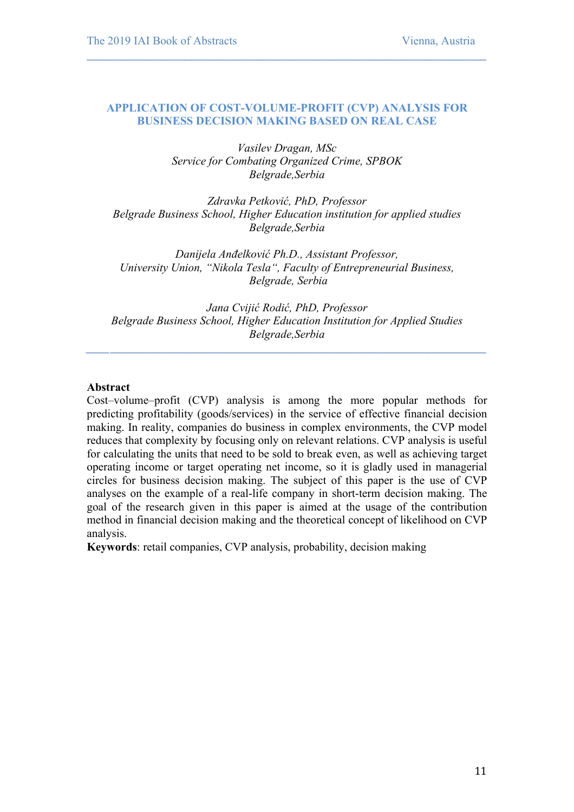# **APPLICATION OF COST-VOLUME-PROFIT (CVP) ANALYSIS FOR BUSINESS DECISION MAKING BASED ON REAL CASE**

 $\mathcal{L} = \{ \mathcal{L} \mathcal{L} \mathcal{L} \mathcal{L} \mathcal{L} \mathcal{L} \mathcal{L} \mathcal{L} \mathcal{L} \mathcal{L} \mathcal{L} \mathcal{L} \mathcal{L} \mathcal{L} \mathcal{L} \mathcal{L} \mathcal{L} \mathcal{L} \mathcal{L} \mathcal{L} \mathcal{L} \mathcal{L} \mathcal{L} \mathcal{L} \mathcal{L} \mathcal{L} \mathcal{L} \mathcal{L} \mathcal{L} \mathcal{L} \mathcal{L} \mathcal{L} \mathcal{L} \mathcal{L} \mathcal{L} \$ 

*Vasilev Dragan, MSc Service for Combating Organized Crime, SPBOK Belgrade,Serbia*

*Zdravka Petković, PhD, Professor Belgrade Business School, Higher Education institution for applied studies Belgrade,Serbia*

*Danijela Anđelković Ph.D., Assistant Professor, University Union, "Nikola Tesla", Faculty of Entrepreneurial Business, Belgrade, Serbia*

*Jana Cvijić Rodić, PhD, Professor Belgrade Business School, Higher Education Institution for Applied Studies Belgrade,Serbia*

*\_\_\_\_***\_\_\_\_\_\_\_\_\_\_\_\_\_\_\_\_\_\_\_\_\_\_\_\_\_\_\_\_\_\_\_\_\_\_\_\_\_\_\_\_\_\_\_\_\_\_\_\_\_\_\_\_\_\_\_\_\_\_\_\_\_\_\_\_\_**

#### **Abstract**

Cost–volume–profit (CVP) analysis is among the more popular methods for predicting profitability (goods/services) in the service of effective financial decision making. In reality, companies do business in complex environments, the CVP model reduces that complexity by focusing only on relevant relations. CVP analysis is useful for calculating the units that need to be sold to break even, as well as achieving target operating income or target operating net income, so it is gladly used in managerial circles for business decision making. The subject of this paper is the use of CVP analyses on the example of a real-life company in short-term decision making. The goal of the research given in this paper is aimed at the usage of the contribution method in financial decision making and the theoretical concept of likelihood on CVP analysis.

**Keywords**: retail companies, CVP analysis, probability, decision making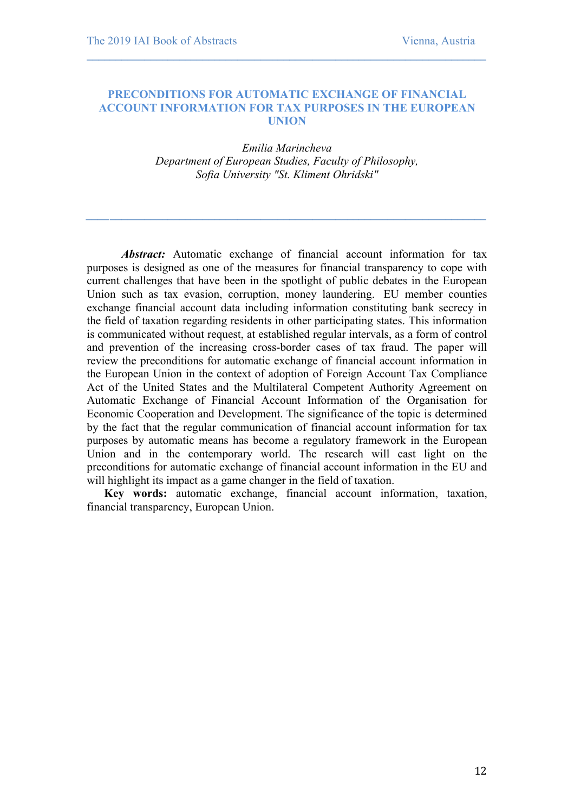#### **PRECONDITIONS FOR AUTOMATIC EXCHANGE OF FINANCIAL ACCOUNT INFORMATION FOR TAX PURPOSES IN THE EUROPEAN UNION**

 $\mathcal{L} = \{ \mathcal{L} \mathcal{L} \mathcal{L} \mathcal{L} \mathcal{L} \mathcal{L} \mathcal{L} \mathcal{L} \mathcal{L} \mathcal{L} \mathcal{L} \mathcal{L} \mathcal{L} \mathcal{L} \mathcal{L} \mathcal{L} \mathcal{L} \mathcal{L} \mathcal{L} \mathcal{L} \mathcal{L} \mathcal{L} \mathcal{L} \mathcal{L} \mathcal{L} \mathcal{L} \mathcal{L} \mathcal{L} \mathcal{L} \mathcal{L} \mathcal{L} \mathcal{L} \mathcal{L} \mathcal{L} \mathcal{L} \$ 

*Emilia Marincheva Department of European Studies, Faculty of Philosophy, Sofia University "St. Kliment Ohridski"*

*\_\_\_\_***\_\_\_\_\_\_\_\_\_\_\_\_\_\_\_\_\_\_\_\_\_\_\_\_\_\_\_\_\_\_\_\_\_\_\_\_\_\_\_\_\_\_\_\_\_\_\_\_\_\_\_\_\_\_\_\_\_\_\_\_\_\_\_\_\_**

*Abstract:* Automatic exchange of financial account information for tax purposes is designed as one of the measures for financial transparency to cope with current challenges that have been in the spotlight of public debates in the European Union such as tax evasion, corruption, money laundering. EU member counties exchange financial account data including information constituting bank secrecy in the field of taxation regarding residents in other participating states. This information is communicated without request, at established regular intervals, as a form of control and prevention of the increasing cross-border cases of tax fraud. The paper will review the preconditions for automatic exchange of financial account information in the European Union in the context of adoption of Foreign Account Tax Compliance Act of the United States and the Multilateral Competent Authority Agreement on Automatic Exchange of Financial Account Information of the Organisation for Economic Cooperation and Development. The significance of the topic is determined by the fact that the regular communication of financial account information for tax purposes by automatic means has become a regulatory framework in the European Union and in the contemporary world. The research will cast light on the preconditions for automatic exchange of financial account information in the EU and will highlight its impact as a game changer in the field of taxation.

**Key words:** automatic exchange, financial account information, taxation, financial transparency, European Union.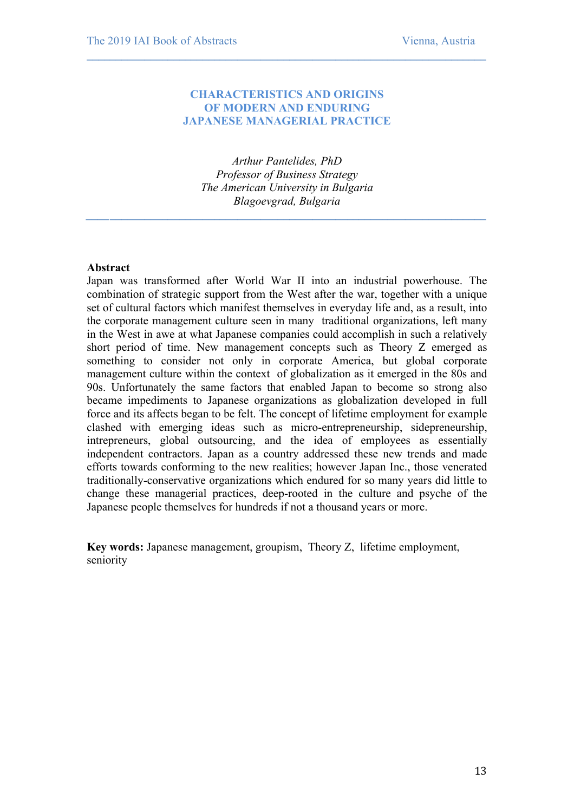# **CHARACTERISTICS AND ORIGINS OF MODERN AND ENDURING JAPANESE MANAGERIAL PRACTICE**

 $\mathcal{L} = \{ \mathcal{L} \mathcal{L} \mathcal{L} \mathcal{L} \mathcal{L} \mathcal{L} \mathcal{L} \mathcal{L} \mathcal{L} \mathcal{L} \mathcal{L} \mathcal{L} \mathcal{L} \mathcal{L} \mathcal{L} \mathcal{L} \mathcal{L} \mathcal{L} \mathcal{L} \mathcal{L} \mathcal{L} \mathcal{L} \mathcal{L} \mathcal{L} \mathcal{L} \mathcal{L} \mathcal{L} \mathcal{L} \mathcal{L} \mathcal{L} \mathcal{L} \mathcal{L} \mathcal{L} \mathcal{L} \mathcal{L} \$ 

*Arthur Pantelides, PhD Professor of Business Strategy The American University in Bulgaria Blagoevgrad, Bulgaria*

*\_\_\_\_***\_\_\_\_\_\_\_\_\_\_\_\_\_\_\_\_\_\_\_\_\_\_\_\_\_\_\_\_\_\_\_\_\_\_\_\_\_\_\_\_\_\_\_\_\_\_\_\_\_\_\_\_\_\_\_\_\_\_\_\_\_\_\_\_\_**

#### **Abstract**

Japan was transformed after World War II into an industrial powerhouse. The combination of strategic support from the West after the war, together with a unique set of cultural factors which manifest themselves in everyday life and, as a result, into the corporate management culture seen in many traditional organizations, left many in the West in awe at what Japanese companies could accomplish in such a relatively short period of time. New management concepts such as Theory Z emerged as something to consider not only in corporate America, but global corporate management culture within the context of globalization as it emerged in the 80s and 90s. Unfortunately the same factors that enabled Japan to become so strong also became impediments to Japanese organizations as globalization developed in full force and its affects began to be felt. The concept of lifetime employment for example clashed with emerging ideas such as micro-entrepreneurship, sidepreneurship, intrepreneurs, global outsourcing, and the idea of employees as essentially independent contractors. Japan as a country addressed these new trends and made efforts towards conforming to the new realities; however Japan Inc., those venerated traditionally-conservative organizations which endured for so many years did little to change these managerial practices, deep-rooted in the culture and psyche of the Japanese people themselves for hundreds if not a thousand years or more.

**Key words:** Japanese management, groupism, Theory Z, lifetime employment, seniority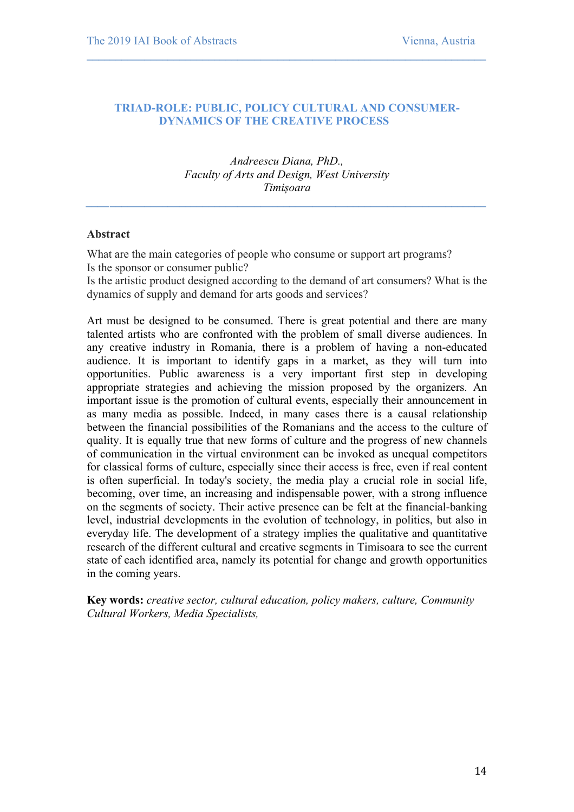# **TRIAD-ROLE: PUBLIC, POLICY CULTURAL AND CONSUMER-DYNAMICS OF THE CREATIVE PROCESS**

 $\mathcal{L} = \{ \mathcal{L} \mathcal{L} \mathcal{L} \mathcal{L} \mathcal{L} \mathcal{L} \mathcal{L} \mathcal{L} \mathcal{L} \mathcal{L} \mathcal{L} \mathcal{L} \mathcal{L} \mathcal{L} \mathcal{L} \mathcal{L} \mathcal{L} \mathcal{L} \mathcal{L} \mathcal{L} \mathcal{L} \mathcal{L} \mathcal{L} \mathcal{L} \mathcal{L} \mathcal{L} \mathcal{L} \mathcal{L} \mathcal{L} \mathcal{L} \mathcal{L} \mathcal{L} \mathcal{L} \mathcal{L} \mathcal{L} \$ 

*Andreescu Diana, PhD., Faculty of Arts and Design, West University Timișoara*

*\_\_\_\_***\_\_\_\_\_\_\_\_\_\_\_\_\_\_\_\_\_\_\_\_\_\_\_\_\_\_\_\_\_\_\_\_\_\_\_\_\_\_\_\_\_\_\_\_\_\_\_\_\_\_\_\_\_\_\_\_\_\_\_\_\_\_\_\_\_**

#### **Abstract**

What are the main categories of people who consume or support art programs? Is the sponsor or consumer public?

Is the artistic product designed according to the demand of art consumers? What is the dynamics of supply and demand for arts goods and services?

Art must be designed to be consumed. There is great potential and there are many talented artists who are confronted with the problem of small diverse audiences. In any creative industry in Romania, there is a problem of having a non-educated audience. It is important to identify gaps in a market, as they will turn into opportunities. Public awareness is a very important first step in developing appropriate strategies and achieving the mission proposed by the organizers. An important issue is the promotion of cultural events, especially their announcement in as many media as possible. Indeed, in many cases there is a causal relationship between the financial possibilities of the Romanians and the access to the culture of quality. It is equally true that new forms of culture and the progress of new channels of communication in the virtual environment can be invoked as unequal competitors for classical forms of culture, especially since their access is free, even if real content is often superficial. In today's society, the media play a crucial role in social life, becoming, over time, an increasing and indispensable power, with a strong influence on the segments of society. Their active presence can be felt at the financial-banking level, industrial developments in the evolution of technology, in politics, but also in everyday life. The development of a strategy implies the qualitative and quantitative research of the different cultural and creative segments in Timisoara to see the current state of each identified area, namely its potential for change and growth opportunities in the coming years.

**Key words:** *creative sector, cultural education, policy makers, culture, Community Cultural Workers, Media Specialists,*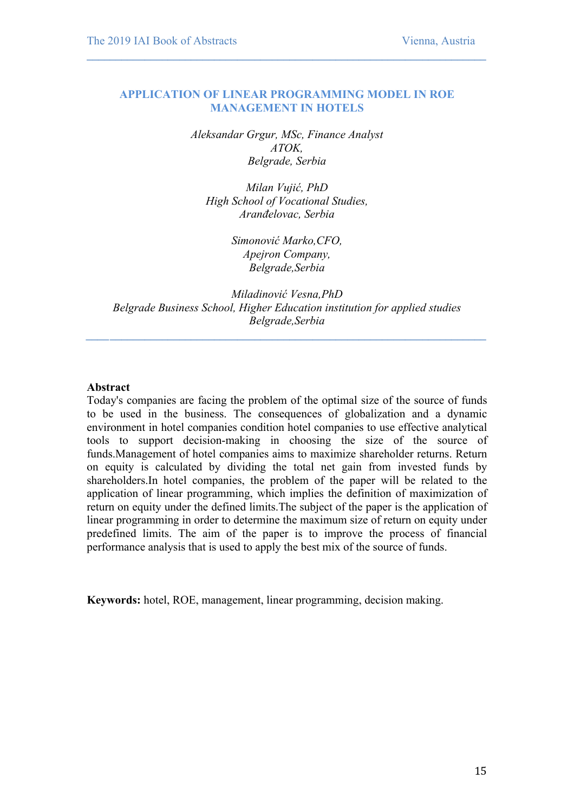#### **APPLICATION OF LINEAR PROGRAMMING MODEL IN ROE MANAGEMENT IN HOTELS**

 $\mathcal{L} = \{ \mathcal{L} \mathcal{L} \mathcal{L} \mathcal{L} \mathcal{L} \mathcal{L} \mathcal{L} \mathcal{L} \mathcal{L} \mathcal{L} \mathcal{L} \mathcal{L} \mathcal{L} \mathcal{L} \mathcal{L} \mathcal{L} \mathcal{L} \mathcal{L} \mathcal{L} \mathcal{L} \mathcal{L} \mathcal{L} \mathcal{L} \mathcal{L} \mathcal{L} \mathcal{L} \mathcal{L} \mathcal{L} \mathcal{L} \mathcal{L} \mathcal{L} \mathcal{L} \mathcal{L} \mathcal{L} \mathcal{L} \$ 

*Aleksandar Grgur, MSc, Finance Analyst ATOK, Belgrade, Serbia*

*Milan Vujić, PhD High School of Vocational Studies, Aranđelovac, Serbia*

> *Simonović Marko,CFO, Apejron Company, Belgrade,Serbia*

*Miladinović Vesna,PhD Belgrade Business School, Higher Education institution for applied studies Belgrade,Serbia*

*\_\_\_\_***\_\_\_\_\_\_\_\_\_\_\_\_\_\_\_\_\_\_\_\_\_\_\_\_\_\_\_\_\_\_\_\_\_\_\_\_\_\_\_\_\_\_\_\_\_\_\_\_\_\_\_\_\_\_\_\_\_\_\_\_\_\_\_\_\_**

#### **Abstract**

Today's companies are facing the problem of the optimal size of the source of funds to be used in the business. The consequences of globalization and a dynamic environment in hotel companies condition hotel companies to use effective analytical tools to support decision-making in choosing the size of the source of funds.Management of hotel companies aims to maximize shareholder returns. Return on equity is calculated by dividing the total net gain from invested funds by shareholders.In hotel companies, the problem of the paper will be related to the application of linear programming, which implies the definition of maximization of return on equity under the defined limits.The subject of the paper is the application of linear programming in order to determine the maximum size of return on equity under predefined limits. The aim of the paper is to improve the process of financial performance analysis that is used to apply the best mix of the source of funds.

**Keywords:** hotel, ROE, management, linear programming, decision making.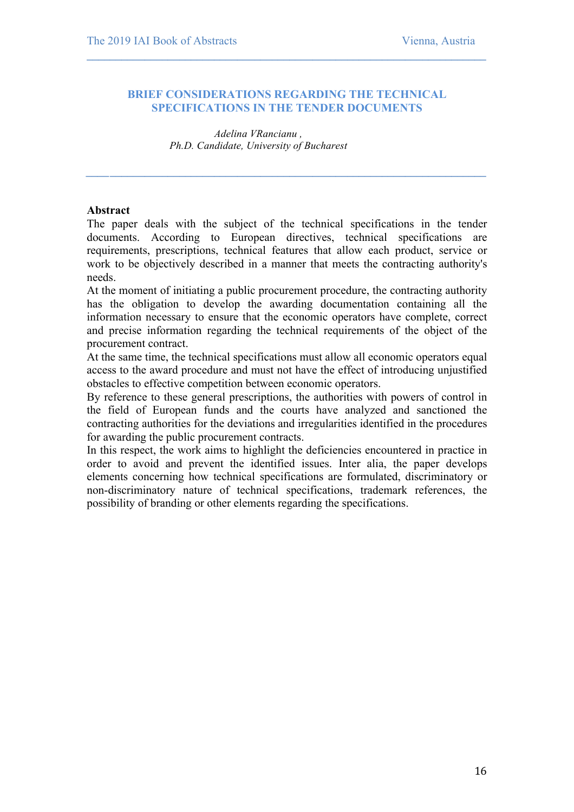#### **BRIEF CONSIDERATIONS REGARDING THE TECHNICAL SPECIFICATIONS IN THE TENDER DOCUMENTS**

*\_\_\_\_***\_\_\_\_\_\_\_\_\_\_\_\_\_\_\_\_\_\_\_\_\_\_\_\_\_\_\_\_\_\_\_\_\_\_\_\_\_\_\_\_\_\_\_\_\_\_\_\_\_\_\_\_\_\_\_\_\_\_\_\_\_\_\_\_\_**

 $\mathcal{L} = \{ \mathcal{L} \mathcal{L} \mathcal{L} \mathcal{L} \mathcal{L} \mathcal{L} \mathcal{L} \mathcal{L} \mathcal{L} \mathcal{L} \mathcal{L} \mathcal{L} \mathcal{L} \mathcal{L} \mathcal{L} \mathcal{L} \mathcal{L} \mathcal{L} \mathcal{L} \mathcal{L} \mathcal{L} \mathcal{L} \mathcal{L} \mathcal{L} \mathcal{L} \mathcal{L} \mathcal{L} \mathcal{L} \mathcal{L} \mathcal{L} \mathcal{L} \mathcal{L} \mathcal{L} \mathcal{L} \mathcal{L} \$ 

*Adelina VRancianu , Ph.D. Candidate, University of Bucharest*

# **Abstract**

The paper deals with the subject of the technical specifications in the tender documents. According to European directives, technical specifications are requirements, prescriptions, technical features that allow each product, service or work to be objectively described in a manner that meets the contracting authority's needs.

At the moment of initiating a public procurement procedure, the contracting authority has the obligation to develop the awarding documentation containing all the information necessary to ensure that the economic operators have complete, correct and precise information regarding the technical requirements of the object of the procurement contract.

At the same time, the technical specifications must allow all economic operators equal access to the award procedure and must not have the effect of introducing unjustified obstacles to effective competition between economic operators.

By reference to these general prescriptions, the authorities with powers of control in the field of European funds and the courts have analyzed and sanctioned the contracting authorities for the deviations and irregularities identified in the procedures for awarding the public procurement contracts.

In this respect, the work aims to highlight the deficiencies encountered in practice in order to avoid and prevent the identified issues. Inter alia, the paper develops elements concerning how technical specifications are formulated, discriminatory or non-discriminatory nature of technical specifications, trademark references, the possibility of branding or other elements regarding the specifications.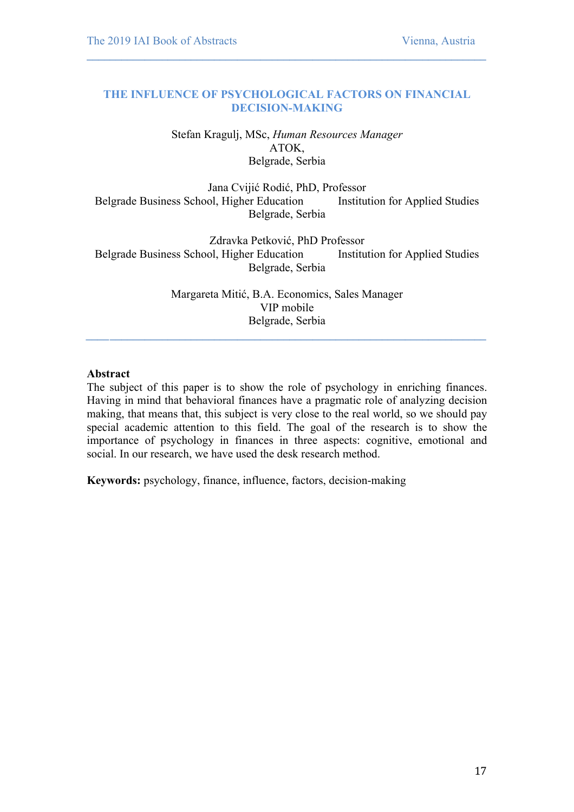# **THE INFLUENCE OF PSYCHOLOGICAL FACTORS ON FINANCIAL DECISION-MAKING**

 $\mathcal{L} = \{ \mathcal{L} \mathcal{L} \mathcal{L} \mathcal{L} \mathcal{L} \mathcal{L} \mathcal{L} \mathcal{L} \mathcal{L} \mathcal{L} \mathcal{L} \mathcal{L} \mathcal{L} \mathcal{L} \mathcal{L} \mathcal{L} \mathcal{L} \mathcal{L} \mathcal{L} \mathcal{L} \mathcal{L} \mathcal{L} \mathcal{L} \mathcal{L} \mathcal{L} \mathcal{L} \mathcal{L} \mathcal{L} \mathcal{L} \mathcal{L} \mathcal{L} \mathcal{L} \mathcal{L} \mathcal{L} \mathcal{L} \$ 

Stefan Kragulj, MSc, *Human Resources Manager* ATOK, Belgrade, Serbia

Jana Cvijić Rodić, PhD, Professor Belgrade Business School, Higher Education Institution for Applied Studies Belgrade, Serbia

Zdravka Petković, PhD Professor Belgrade Business School, Higher Education Institution for Applied Studies Belgrade, Serbia

> Margareta Mitić, B.A. Economics, Sales Manager VIP mobile Belgrade, Serbia

*\_\_\_\_***\_\_\_\_\_\_\_\_\_\_\_\_\_\_\_\_\_\_\_\_\_\_\_\_\_\_\_\_\_\_\_\_\_\_\_\_\_\_\_\_\_\_\_\_\_\_\_\_\_\_\_\_\_\_\_\_\_\_\_\_\_\_\_\_\_**

#### **Abstract**

The subject of this paper is to show the role of psychology in enriching finances. Having in mind that behavioral finances have a pragmatic role of analyzing decision making, that means that, this subject is very close to the real world, so we should pay special academic attention to this field. The goal of the research is to show the importance of psychology in finances in three aspects: cognitive, emotional and social. In our research, we have used the desk research method.

**Keywords:** psychology, finance, influence, factors, decision-making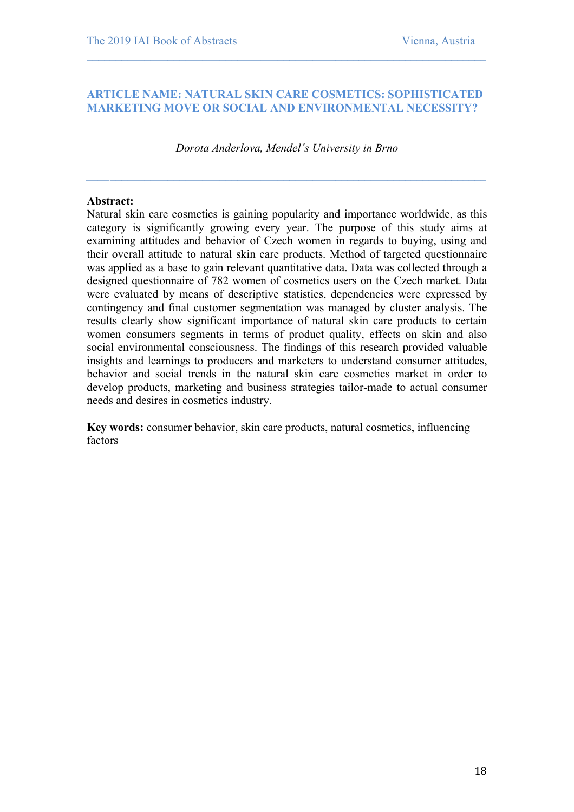# **ARTICLE NAME: NATURAL SKIN CARE COSMETICS: SOPHISTICATED MARKETING MOVE OR SOCIAL AND ENVIRONMENTAL NECESSITY?**

 $\mathcal{L} = \{ \mathcal{L} \mathcal{L} \mathcal{L} \mathcal{L} \mathcal{L} \mathcal{L} \mathcal{L} \mathcal{L} \mathcal{L} \mathcal{L} \mathcal{L} \mathcal{L} \mathcal{L} \mathcal{L} \mathcal{L} \mathcal{L} \mathcal{L} \mathcal{L} \mathcal{L} \mathcal{L} \mathcal{L} \mathcal{L} \mathcal{L} \mathcal{L} \mathcal{L} \mathcal{L} \mathcal{L} \mathcal{L} \mathcal{L} \mathcal{L} \mathcal{L} \mathcal{L} \mathcal{L} \mathcal{L} \mathcal{L} \$ 

#### *Dorota Anderlova, Mendel´s University in Brno*

*\_\_\_\_***\_\_\_\_\_\_\_\_\_\_\_\_\_\_\_\_\_\_\_\_\_\_\_\_\_\_\_\_\_\_\_\_\_\_\_\_\_\_\_\_\_\_\_\_\_\_\_\_\_\_\_\_\_\_\_\_\_\_\_\_\_\_\_\_\_**

#### **Abstract:**

Natural skin care cosmetics is gaining popularity and importance worldwide, as this category is significantly growing every year. The purpose of this study aims at examining attitudes and behavior of Czech women in regards to buying, using and their overall attitude to natural skin care products. Method of targeted questionnaire was applied as a base to gain relevant quantitative data. Data was collected through a designed questionnaire of 782 women of cosmetics users on the Czech market. Data were evaluated by means of descriptive statistics, dependencies were expressed by contingency and final customer segmentation was managed by cluster analysis. The results clearly show significant importance of natural skin care products to certain women consumers segments in terms of product quality, effects on skin and also social environmental consciousness. The findings of this research provided valuable insights and learnings to producers and marketers to understand consumer attitudes, behavior and social trends in the natural skin care cosmetics market in order to develop products, marketing and business strategies tailor-made to actual consumer needs and desires in cosmetics industry.

**Key words:** consumer behavior, skin care products, natural cosmetics, influencing factors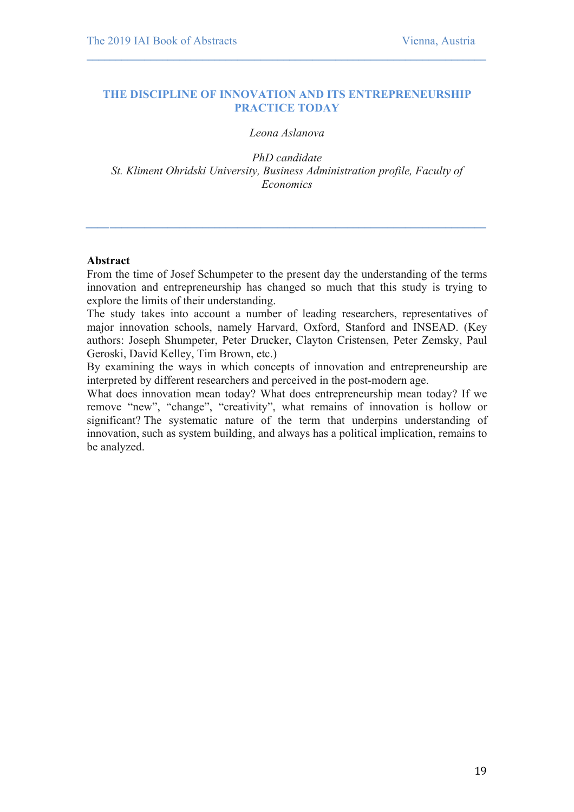#### **THE DISCIPLINE OF INNOVATION AND ITS ENTREPRENEURSHIP PRACTICE TODAY**

 $\mathcal{L} = \{ \mathcal{L} \mathcal{L} \mathcal{L} \mathcal{L} \mathcal{L} \mathcal{L} \mathcal{L} \mathcal{L} \mathcal{L} \mathcal{L} \mathcal{L} \mathcal{L} \mathcal{L} \mathcal{L} \mathcal{L} \mathcal{L} \mathcal{L} \mathcal{L} \mathcal{L} \mathcal{L} \mathcal{L} \mathcal{L} \mathcal{L} \mathcal{L} \mathcal{L} \mathcal{L} \mathcal{L} \mathcal{L} \mathcal{L} \mathcal{L} \mathcal{L} \mathcal{L} \mathcal{L} \mathcal{L} \mathcal{L} \$ 

*Leona Aslanova*

*PhD candidate St. Kliment Ohridski University, Business Administration profile, Faculty of Economics*

*\_\_\_\_***\_\_\_\_\_\_\_\_\_\_\_\_\_\_\_\_\_\_\_\_\_\_\_\_\_\_\_\_\_\_\_\_\_\_\_\_\_\_\_\_\_\_\_\_\_\_\_\_\_\_\_\_\_\_\_\_\_\_\_\_\_\_\_\_\_**

#### **Abstract**

From the time of Josef Schumpeter to the present day the understanding of the terms innovation and entrepreneurship has changed so much that this study is trying to explore the limits of their understanding.

The study takes into account a number of leading researchers, representatives of major innovation schools, namely Harvard, Oxford, Stanford and INSEAD. (Key authors: Joseph Shumpeter, Peter Drucker, Clayton Cristensen, Peter Zemsky, Paul Geroski, David Kelley, Tim Brown, etc.)

By examining the ways in which concepts of innovation and entrepreneurship are interpreted by different researchers and perceived in the post-modern age.

What does innovation mean today? What does entrepreneurship mean today? If we remove "new", "change", "creativity", what remains of innovation is hollow or significant? The systematic nature of the term that underpins understanding of innovation, such as system building, and always has a political implication, remains to be analyzed.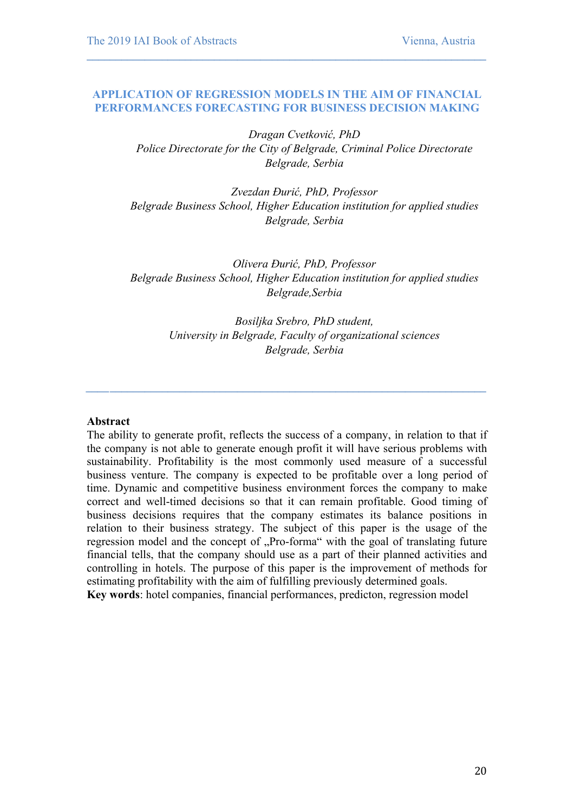# **APPLICATION OF REGRESSION MODELS IN THE AIM OF FINANCIAL PERFORMANCES FORECASTING FOR BUSINESS DECISION MAKING**

 $\mathcal{L} = \{ \mathcal{L} \mathcal{L} \mathcal{L} \mathcal{L} \mathcal{L} \mathcal{L} \mathcal{L} \mathcal{L} \mathcal{L} \mathcal{L} \mathcal{L} \mathcal{L} \mathcal{L} \mathcal{L} \mathcal{L} \mathcal{L} \mathcal{L} \mathcal{L} \mathcal{L} \mathcal{L} \mathcal{L} \mathcal{L} \mathcal{L} \mathcal{L} \mathcal{L} \mathcal{L} \mathcal{L} \mathcal{L} \mathcal{L} \mathcal{L} \mathcal{L} \mathcal{L} \mathcal{L} \mathcal{L} \mathcal{L} \$ 

*Dragan Cvetković, PhD Police Directorate for the City of Belgrade, Criminal Police Directorate Belgrade, Serbia*

*Zvezdan Đurić, PhD, Professor Belgrade Business School, Higher Education institution for applied studies Belgrade, Serbia*

*Olivera Đurić, PhD, Professor Belgrade Business School, Higher Education institution for applied studies Belgrade,Serbia*

> *Bosiljka Srebro, PhD student, University in Belgrade, Faculty of organizational sciences Belgrade, Serbia*

#### **Abstract**

The ability to generate profit, reflects the success of a company, in relation to that if the company is not able to generate enough profit it will have serious problems with sustainability. Profitability is the most commonly used measure of a successful business venture. The company is expected to be profitable over a long period of time. Dynamic and competitive business environment forces the company to make correct and well-timed decisions so that it can remain profitable. Good timing of business decisions requires that the company estimates its balance positions in relation to their business strategy. The subject of this paper is the usage of the regression model and the concept of "Pro-forma" with the goal of translating future financial tells, that the company should use as a part of their planned activities and controlling in hotels. The purpose of this paper is the improvement of methods for estimating profitability with the aim of fulfilling previously determined goals.

*\_\_\_\_***\_\_\_\_\_\_\_\_\_\_\_\_\_\_\_\_\_\_\_\_\_\_\_\_\_\_\_\_\_\_\_\_\_\_\_\_\_\_\_\_\_\_\_\_\_\_\_\_\_\_\_\_\_\_\_\_\_\_\_\_\_\_\_\_\_**

**Key words**: hotel companies, financial performances, predicton, regression model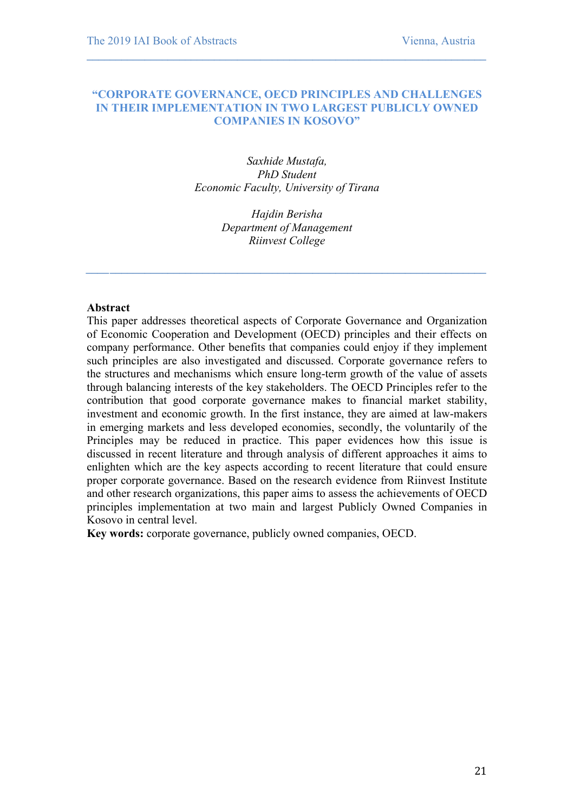#### **"CORPORATE GOVERNANCE, OECD PRINCIPLES AND CHALLENGES IN THEIR IMPLEMENTATION IN TWO LARGEST PUBLICLY OWNED COMPANIES IN KOSOVO"**

 $\mathcal{L} = \{ \mathcal{L} \mathcal{L} \mathcal{L} \mathcal{L} \mathcal{L} \mathcal{L} \mathcal{L} \mathcal{L} \mathcal{L} \mathcal{L} \mathcal{L} \mathcal{L} \mathcal{L} \mathcal{L} \mathcal{L} \mathcal{L} \mathcal{L} \mathcal{L} \mathcal{L} \mathcal{L} \mathcal{L} \mathcal{L} \mathcal{L} \mathcal{L} \mathcal{L} \mathcal{L} \mathcal{L} \mathcal{L} \mathcal{L} \mathcal{L} \mathcal{L} \mathcal{L} \mathcal{L} \mathcal{L} \mathcal{L} \$ 

*Saxhide Mustafa, PhD Student Economic Faculty, University of Tirana*

> *Hajdin Berisha Department of Management Riinvest College*

*\_\_\_\_***\_\_\_\_\_\_\_\_\_\_\_\_\_\_\_\_\_\_\_\_\_\_\_\_\_\_\_\_\_\_\_\_\_\_\_\_\_\_\_\_\_\_\_\_\_\_\_\_\_\_\_\_\_\_\_\_\_\_\_\_\_\_\_\_\_**

#### **Abstract**

This paper addresses theoretical aspects of Corporate Governance and Organization of Economic Cooperation and Development (OECD) principles and their effects on company performance. Other benefits that companies could enjoy if they implement such principles are also investigated and discussed. Corporate governance refers to the structures and mechanisms which ensure long-term growth of the value of assets through balancing interests of the key stakeholders. The OECD Principles refer to the contribution that good corporate governance makes to financial market stability, investment and economic growth. In the first instance, they are aimed at law-makers in emerging markets and less developed economies, secondly, the voluntarily of the Principles may be reduced in practice. This paper evidences how this issue is discussed in recent literature and through analysis of different approaches it aims to enlighten which are the key aspects according to recent literature that could ensure proper corporate governance. Based on the research evidence from Riinvest Institute and other research organizations, this paper aims to assess the achievements of OECD principles implementation at two main and largest Publicly Owned Companies in Kosovo in central level.

**Key words:** corporate governance, publicly owned companies, OECD.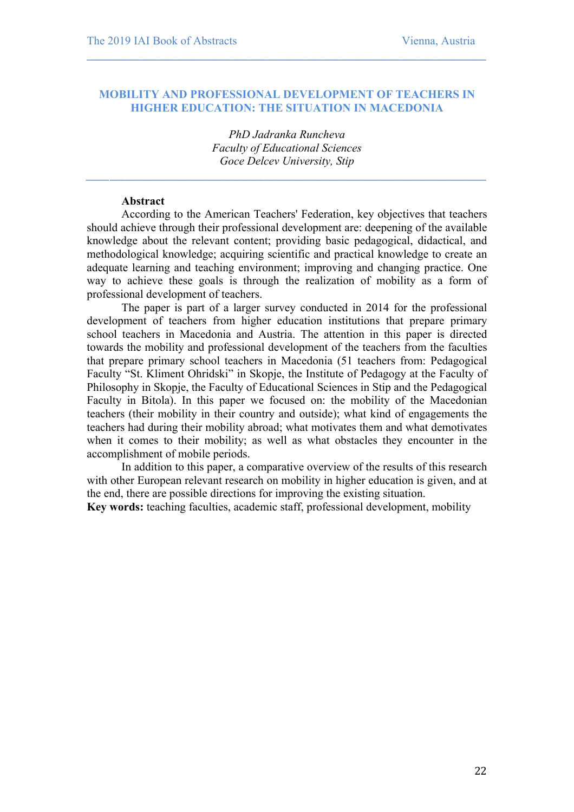# **MOBILITY AND PROFESSIONAL DEVELOPMENT OF TEACHERS IN HIGHER EDUCATION: THE SITUATION IN MACEDONIA**

 $\mathcal{L} = \{ \mathcal{L} \mathcal{L} \mathcal{L} \mathcal{L} \mathcal{L} \mathcal{L} \mathcal{L} \mathcal{L} \mathcal{L} \mathcal{L} \mathcal{L} \mathcal{L} \mathcal{L} \mathcal{L} \mathcal{L} \mathcal{L} \mathcal{L} \mathcal{L} \mathcal{L} \mathcal{L} \mathcal{L} \mathcal{L} \mathcal{L} \mathcal{L} \mathcal{L} \mathcal{L} \mathcal{L} \mathcal{L} \mathcal{L} \mathcal{L} \mathcal{L} \mathcal{L} \mathcal{L} \mathcal{L} \mathcal{L} \$ 

*PhD Jadranka Runcheva Faculty of Educational Sciences Goce Delcev University, Stip*

*\_\_\_\_***\_\_\_\_\_\_\_\_\_\_\_\_\_\_\_\_\_\_\_\_\_\_\_\_\_\_\_\_\_\_\_\_\_\_\_\_\_\_\_\_\_\_\_\_\_\_\_\_\_\_\_\_\_\_\_\_\_\_\_\_\_\_\_\_\_**

# **Abstract**

According to the American Teachers' Federation, key objectives that teachers should achieve through their professional development are: deepening of the available knowledge about the relevant content; providing basic pedagogical, didactical, and methodological knowledge; acquiring scientific and practical knowledge to create an adequate learning and teaching environment; improving and changing practice. One way to achieve these goals is through the realization of mobility as a form of professional development of teachers.

The paper is part of a larger survey conducted in 2014 for the professional development of teachers from higher education institutions that prepare primary school teachers in Macedonia and Austria. The attention in this paper is directed towards the mobility and professional development of the teachers from the faculties that prepare primary school teachers in Macedonia (51 teachers from: Pedagogical Faculty "St. Kliment Ohridski" in Skopje, the Institute of Pedagogy at the Faculty of Philosophy in Skopje, the Faculty of Educational Sciences in Stip and the Pedagogical Faculty in Bitola). In this paper we focused on: the mobility of the Macedonian teachers (their mobility in their country and outside); what kind of engagements the teachers had during their mobility abroad; what motivates them and what demotivates when it comes to their mobility; as well as what obstacles they encounter in the accomplishment of mobile periods.

In addition to this paper, a comparative overview of the results of this research with other European relevant research on mobility in higher education is given, and at the end, there are possible directions for improving the existing situation.

**Key words:** teaching faculties, academic staff, professional development, mobility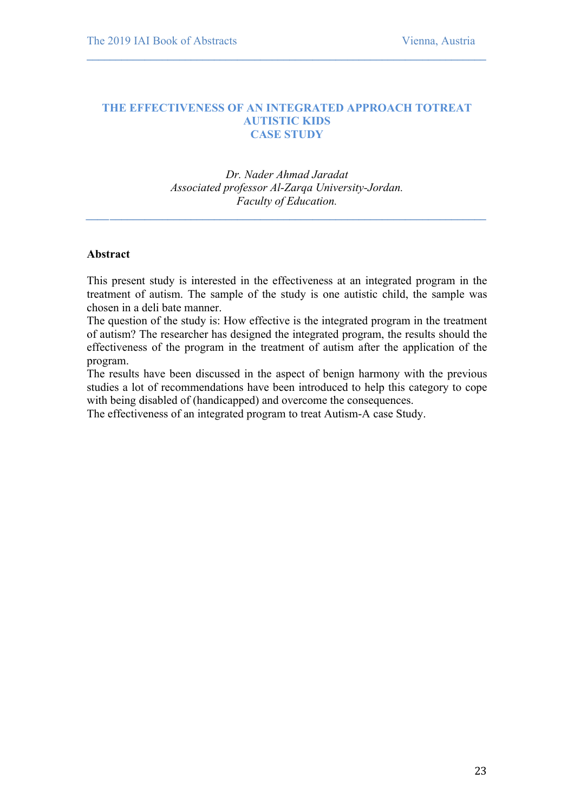# **THE EFFECTIVENESS OF AN INTEGRATED APPROACH TOTREAT AUTISTIC KIDS CASE STUDY**

 $\mathcal{L} = \{ \mathcal{L} \mathcal{L} \mathcal{L} \mathcal{L} \mathcal{L} \mathcal{L} \mathcal{L} \mathcal{L} \mathcal{L} \mathcal{L} \mathcal{L} \mathcal{L} \mathcal{L} \mathcal{L} \mathcal{L} \mathcal{L} \mathcal{L} \mathcal{L} \mathcal{L} \mathcal{L} \mathcal{L} \mathcal{L} \mathcal{L} \mathcal{L} \mathcal{L} \mathcal{L} \mathcal{L} \mathcal{L} \mathcal{L} \mathcal{L} \mathcal{L} \mathcal{L} \mathcal{L} \mathcal{L} \mathcal{L} \$ 

*Dr. Nader Ahmad Jaradat Associated professor Al-Zarqa University-Jordan. Faculty of Education.*

*\_\_\_\_***\_\_\_\_\_\_\_\_\_\_\_\_\_\_\_\_\_\_\_\_\_\_\_\_\_\_\_\_\_\_\_\_\_\_\_\_\_\_\_\_\_\_\_\_\_\_\_\_\_\_\_\_\_\_\_\_\_\_\_\_\_\_\_\_\_**

# **Abstract**

This present study is interested in the effectiveness at an integrated program in the treatment of autism. The sample of the study is one autistic child, the sample was chosen in a deli bate manner.

The question of the study is: How effective is the integrated program in the treatment of autism? The researcher has designed the integrated program, the results should the effectiveness of the program in the treatment of autism after the application of the program.

The results have been discussed in the aspect of benign harmony with the previous studies a lot of recommendations have been introduced to help this category to cope with being disabled of (handicapped) and overcome the consequences.

The effectiveness of an integrated program to treat Autism-A case Study.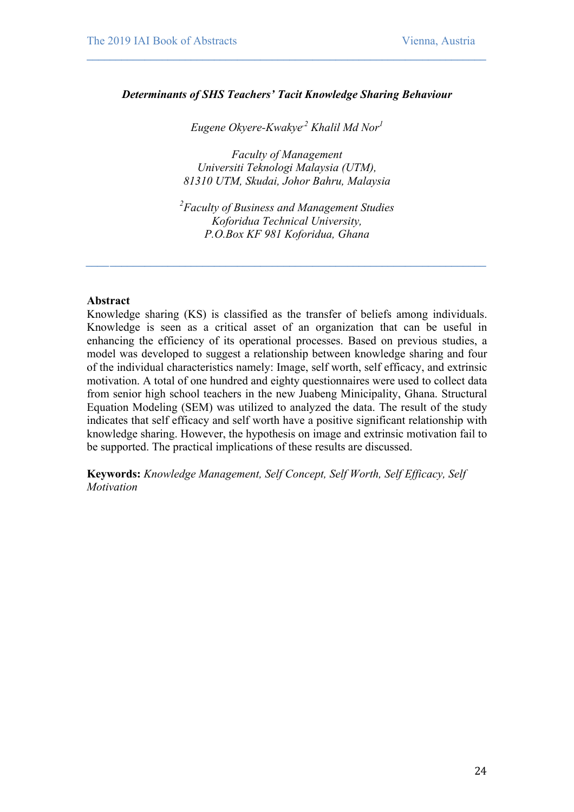# *Determinants of SHS Teachers' Tacit Knowledge Sharing Behaviour*

 $\mathcal{L} = \{ \mathcal{L} \mathcal{L} \mathcal{L} \mathcal{L} \mathcal{L} \mathcal{L} \mathcal{L} \mathcal{L} \mathcal{L} \mathcal{L} \mathcal{L} \mathcal{L} \mathcal{L} \mathcal{L} \mathcal{L} \mathcal{L} \mathcal{L} \mathcal{L} \mathcal{L} \mathcal{L} \mathcal{L} \mathcal{L} \mathcal{L} \mathcal{L} \mathcal{L} \mathcal{L} \mathcal{L} \mathcal{L} \mathcal{L} \mathcal{L} \mathcal{L} \mathcal{L} \mathcal{L} \mathcal{L} \mathcal{L} \$ 

*Eugene Okyere-Kwakye,2 Khalil Md Nor<sup>1</sup>*

*Faculty of Management Universiti Teknologi Malaysia (UTM), 81310 UTM, Skudai, Johor Bahru, Malaysia*

*2 Faculty of Business and Management Studies Koforidua Technical University, P.O.Box KF 981 Koforidua, Ghana*

*\_\_\_\_***\_\_\_\_\_\_\_\_\_\_\_\_\_\_\_\_\_\_\_\_\_\_\_\_\_\_\_\_\_\_\_\_\_\_\_\_\_\_\_\_\_\_\_\_\_\_\_\_\_\_\_\_\_\_\_\_\_\_\_\_\_\_\_\_\_**

#### **Abstract**

Knowledge sharing (KS) is classified as the transfer of beliefs among individuals. Knowledge is seen as a critical asset of an organization that can be useful in enhancing the efficiency of its operational processes. Based on previous studies, a model was developed to suggest a relationship between knowledge sharing and four of the individual characteristics namely: Image, self worth, self efficacy, and extrinsic motivation. A total of one hundred and eighty questionnaires were used to collect data from senior high school teachers in the new Juabeng Minicipality, Ghana. Structural Equation Modeling (SEM) was utilized to analyzed the data. The result of the study indicates that self efficacy and self worth have a positive significant relationship with knowledge sharing. However, the hypothesis on image and extrinsic motivation fail to be supported. The practical implications of these results are discussed.

**Keywords:** *Knowledge Management, Self Concept, Self Worth, Self Efficacy, Self Motivation*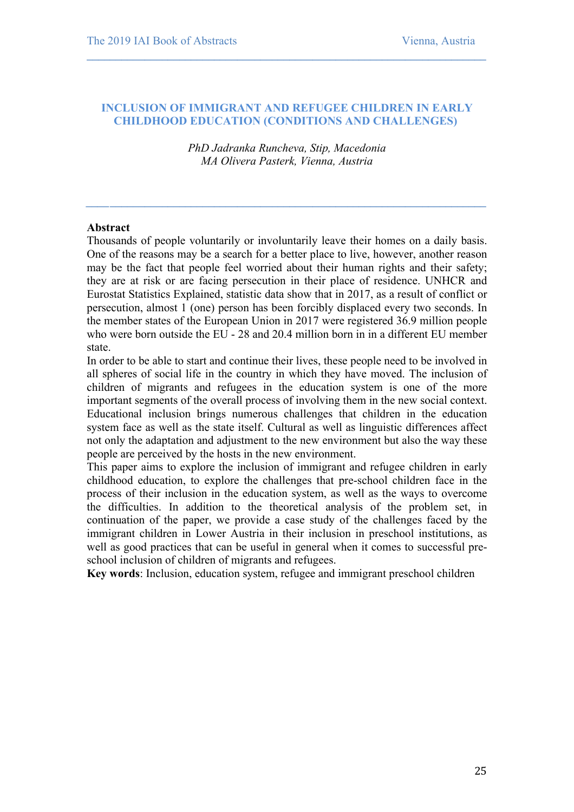#### **INCLUSION OF IMMIGRANT AND REFUGEE CHILDREN IN EARLY CHILDHOOD EDUCATION (CONDITIONS AND CHALLENGES)**

 $\mathcal{L} = \{ \mathcal{L} \mathcal{L} \mathcal{L} \mathcal{L} \mathcal{L} \mathcal{L} \mathcal{L} \mathcal{L} \mathcal{L} \mathcal{L} \mathcal{L} \mathcal{L} \mathcal{L} \mathcal{L} \mathcal{L} \mathcal{L} \mathcal{L} \mathcal{L} \mathcal{L} \mathcal{L} \mathcal{L} \mathcal{L} \mathcal{L} \mathcal{L} \mathcal{L} \mathcal{L} \mathcal{L} \mathcal{L} \mathcal{L} \mathcal{L} \mathcal{L} \mathcal{L} \mathcal{L} \mathcal{L} \mathcal{L} \$ 

*PhD Jadranka Runcheva, Stip, Macedonia MA Olivera Pasterk, Vienna, Austria*

*\_\_\_\_***\_\_\_\_\_\_\_\_\_\_\_\_\_\_\_\_\_\_\_\_\_\_\_\_\_\_\_\_\_\_\_\_\_\_\_\_\_\_\_\_\_\_\_\_\_\_\_\_\_\_\_\_\_\_\_\_\_\_\_\_\_\_\_\_\_**

#### **Abstract**

Thousands of people voluntarily or involuntarily leave their homes on a daily basis. One of the reasons may be a search for a better place to live, however, another reason may be the fact that people feel worried about their human rights and their safety; they are at risk or are facing persecution in their place of residence. UNHCR and Eurostat Statistics Explained, statistic data show that in 2017, as a result of conflict or persecution, almost 1 (one) person has been forcibly displaced every two seconds. In the member states of the European Union in 2017 were registered 36.9 million people who were born outside the EU - 28 and 20.4 million born in in a different EU member state.

In order to be able to start and continue their lives, these people need to be involved in all spheres of social life in the country in which they have moved. The inclusion of children of migrants and refugees in the education system is one of the more important segments of the overall process of involving them in the new social context. Educational inclusion brings numerous challenges that children in the education system face as well as the state itself. Cultural as well as linguistic differences affect not only the adaptation and adjustment to the new environment but also the way these people are perceived by the hosts in the new environment.

This paper aims to explore the inclusion of immigrant and refugee children in early childhood education, to explore the challenges that pre-school children face in the process of their inclusion in the education system, as well as the ways to overcome the difficulties. In addition to the theoretical analysis of the problem set, in continuation of the paper, we provide a case study of the challenges faced by the immigrant children in Lower Austria in their inclusion in preschool institutions, as well as good practices that can be useful in general when it comes to successful preschool inclusion of children of migrants and refugees.

**Key words**: Inclusion, education system, refugee and immigrant preschool children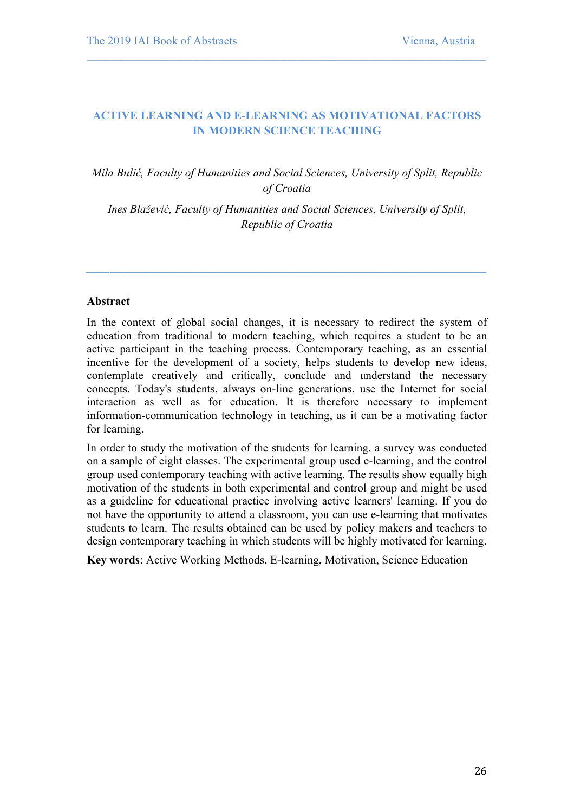# **ACTIVE LEARNING AND E-LEARNING AS MOTIVATIONAL FACTORS IN MODERN SCIENCE TEACHING**

 $\mathcal{L} = \{ \mathcal{L} \mathcal{L} \mathcal{L} \mathcal{L} \mathcal{L} \mathcal{L} \mathcal{L} \mathcal{L} \mathcal{L} \mathcal{L} \mathcal{L} \mathcal{L} \mathcal{L} \mathcal{L} \mathcal{L} \mathcal{L} \mathcal{L} \mathcal{L} \mathcal{L} \mathcal{L} \mathcal{L} \mathcal{L} \mathcal{L} \mathcal{L} \mathcal{L} \mathcal{L} \mathcal{L} \mathcal{L} \mathcal{L} \mathcal{L} \mathcal{L} \mathcal{L} \mathcal{L} \mathcal{L} \mathcal{L} \$ 

# *Mila Bulić, Faculty of Humanities and Social Sciences, University of Split, Republic of Croatia*

*Ines Blažević, Faculty of Humanities and Social Sciences, University of Split, Republic of Croatia*

*\_\_\_\_***\_\_\_\_\_\_\_\_\_\_\_\_\_\_\_\_\_\_\_\_\_\_\_\_\_\_\_\_\_\_\_\_\_\_\_\_\_\_\_\_\_\_\_\_\_\_\_\_\_\_\_\_\_\_\_\_\_\_\_\_\_\_\_\_\_**

# **Abstract**

In the context of global social changes, it is necessary to redirect the system of education from traditional to modern teaching, which requires a student to be an active participant in the teaching process. Contemporary teaching, as an essential incentive for the development of a society, helps students to develop new ideas, contemplate creatively and critically, conclude and understand the necessary concepts. Today's students, always on-line generations, use the Internet for social interaction as well as for education. It is therefore necessary to implement information-communication technology in teaching, as it can be a motivating factor for learning.

In order to study the motivation of the students for learning, a survey was conducted on a sample of eight classes. The experimental group used e-learning, and the control group used contemporary teaching with active learning. The results show equally high motivation of the students in both experimental and control group and might be used as a guideline for educational practice involving active learners' learning. If you do not have the opportunity to attend a classroom, you can use e-learning that motivates students to learn. The results obtained can be used by policy makers and teachers to design contemporary teaching in which students will be highly motivated for learning.

**Key words**: Active Working Methods, E-learning, Motivation, Science Education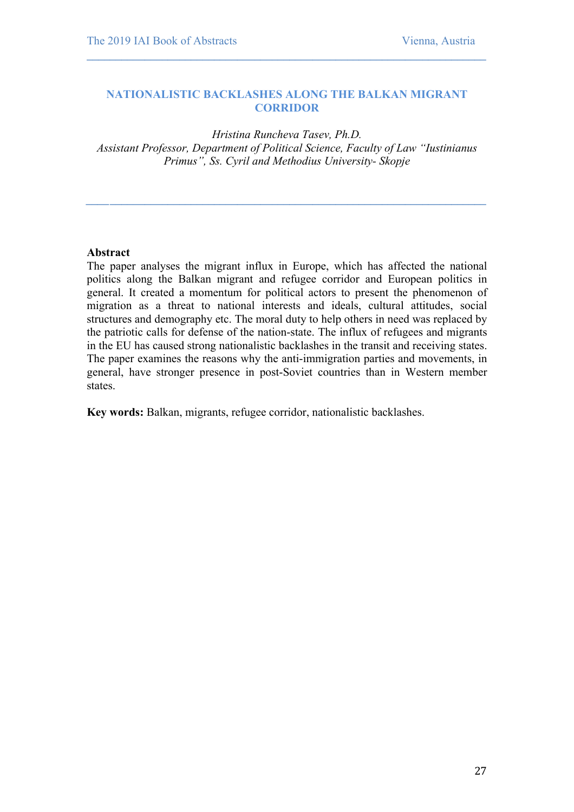#### **NATIONALISTIC BACKLASHES ALONG THE BALKAN MIGRANT CORRIDOR**

 $\mathcal{L} = \{ \mathcal{L} \mathcal{L} \mathcal{L} \mathcal{L} \mathcal{L} \mathcal{L} \mathcal{L} \mathcal{L} \mathcal{L} \mathcal{L} \mathcal{L} \mathcal{L} \mathcal{L} \mathcal{L} \mathcal{L} \mathcal{L} \mathcal{L} \mathcal{L} \mathcal{L} \mathcal{L} \mathcal{L} \mathcal{L} \mathcal{L} \mathcal{L} \mathcal{L} \mathcal{L} \mathcal{L} \mathcal{L} \mathcal{L} \mathcal{L} \mathcal{L} \mathcal{L} \mathcal{L} \mathcal{L} \mathcal{L} \$ 

*Hristina Runcheva Tasev, Ph.D. Assistant Professor, Department of Political Science, Faculty of Law "Iustinianus Primus", Ss. Cyril and Methodius University- Skopje*

*\_\_\_\_***\_\_\_\_\_\_\_\_\_\_\_\_\_\_\_\_\_\_\_\_\_\_\_\_\_\_\_\_\_\_\_\_\_\_\_\_\_\_\_\_\_\_\_\_\_\_\_\_\_\_\_\_\_\_\_\_\_\_\_\_\_\_\_\_\_**

#### **Abstract**

The paper analyses the migrant influx in Europe, which has affected the national politics along the Balkan migrant and refugee corridor and European politics in general. It created a momentum for political actors to present the phenomenon of migration as a threat to national interests and ideals, cultural attitudes, social structures and demography etc. The moral duty to help others in need was replaced by the patriotic calls for defense of the nation-state. The influx of refugees and migrants in the EU has caused strong nationalistic backlashes in the transit and receiving states. The paper examines the reasons why the anti-immigration parties and movements, in general, have stronger presence in post-Soviet countries than in Western member states.

**Key words:** Balkan, migrants, refugee corridor, nationalistic backlashes.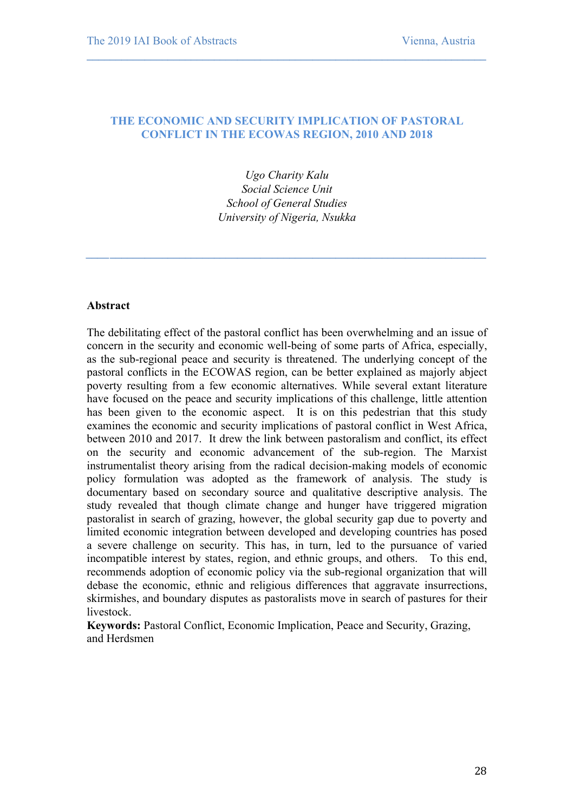# **THE ECONOMIC AND SECURITY IMPLICATION OF PASTORAL CONFLICT IN THE ECOWAS REGION, 2010 AND 2018**

 $\mathcal{L} = \{ \mathcal{L} \mathcal{L} \mathcal{L} \mathcal{L} \mathcal{L} \mathcal{L} \mathcal{L} \mathcal{L} \mathcal{L} \mathcal{L} \mathcal{L} \mathcal{L} \mathcal{L} \mathcal{L} \mathcal{L} \mathcal{L} \mathcal{L} \mathcal{L} \mathcal{L} \mathcal{L} \mathcal{L} \mathcal{L} \mathcal{L} \mathcal{L} \mathcal{L} \mathcal{L} \mathcal{L} \mathcal{L} \mathcal{L} \mathcal{L} \mathcal{L} \mathcal{L} \mathcal{L} \mathcal{L} \mathcal{L} \$ 

*Ugo Charity Kalu Social Science Unit School of General Studies University of Nigeria, Nsukka*

*\_\_\_\_***\_\_\_\_\_\_\_\_\_\_\_\_\_\_\_\_\_\_\_\_\_\_\_\_\_\_\_\_\_\_\_\_\_\_\_\_\_\_\_\_\_\_\_\_\_\_\_\_\_\_\_\_\_\_\_\_\_\_\_\_\_\_\_\_\_**

#### **Abstract**

The debilitating effect of the pastoral conflict has been overwhelming and an issue of concern in the security and economic well-being of some parts of Africa, especially, as the sub-regional peace and security is threatened. The underlying concept of the pastoral conflicts in the ECOWAS region, can be better explained as majorly abject poverty resulting from a few economic alternatives. While several extant literature have focused on the peace and security implications of this challenge, little attention has been given to the economic aspect. It is on this pedestrian that this study examines the economic and security implications of pastoral conflict in West Africa, between 2010 and 2017. It drew the link between pastoralism and conflict, its effect on the security and economic advancement of the sub-region. The Marxist instrumentalist theory arising from the radical decision-making models of economic policy formulation was adopted as the framework of analysis. The study is documentary based on secondary source and qualitative descriptive analysis. The study revealed that though climate change and hunger have triggered migration pastoralist in search of grazing, however, the global security gap due to poverty and limited economic integration between developed and developing countries has posed a severe challenge on security. This has, in turn, led to the pursuance of varied incompatible interest by states, region, and ethnic groups, and others. To this end, recommends adoption of economic policy via the sub-regional organization that will debase the economic, ethnic and religious differences that aggravate insurrections, skirmishes, and boundary disputes as pastoralists move in search of pastures for their livestock.

**Keywords:** Pastoral Conflict, Economic Implication, Peace and Security, Grazing, and Herdsmen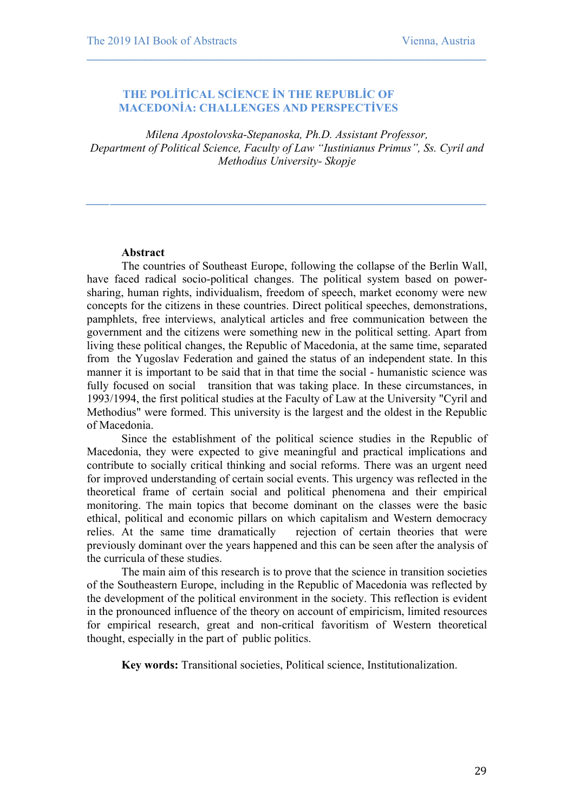# **THE POLİTİCAL SCİENCE İN THE REPUBLİC OF MACEDONİA: CHALLENGES AND PERSPECTİVES**

*Milena Apostolovska-Stepanoska, Ph.D. Assistant Professor, Department of Political Science, Faculty of Law "Iustinianus Primus", Ss. Cyril and Methodius University- Skopje*

*\_\_\_\_***\_\_\_\_\_\_\_\_\_\_\_\_\_\_\_\_\_\_\_\_\_\_\_\_\_\_\_\_\_\_\_\_\_\_\_\_\_\_\_\_\_\_\_\_\_\_\_\_\_\_\_\_\_\_\_\_\_\_\_\_\_\_\_\_\_**

 $\mathcal{L} = \{ \mathcal{L} \mathcal{L} \mathcal{L} \mathcal{L} \mathcal{L} \mathcal{L} \mathcal{L} \mathcal{L} \mathcal{L} \mathcal{L} \mathcal{L} \mathcal{L} \mathcal{L} \mathcal{L} \mathcal{L} \mathcal{L} \mathcal{L} \mathcal{L} \mathcal{L} \mathcal{L} \mathcal{L} \mathcal{L} \mathcal{L} \mathcal{L} \mathcal{L} \mathcal{L} \mathcal{L} \mathcal{L} \mathcal{L} \mathcal{L} \mathcal{L} \mathcal{L} \mathcal{L} \mathcal{L} \mathcal{L} \$ 

#### **Abstract**

Тhe countries of Southeast Europe, following the collapse of the Berlin Wall, have faced radical socio-political changes. The political system based on powersharing, human rights, individualism, freedom of speech, market economy were new concepts for the citizens in these countries. Direct political speeches, demonstrations, pamphlets, free interviews, analytical articles and free communication between the government and the citizens were something new in the political setting. Apart from living these political changes, the Republic of Macedonia, at the same time, separated from the Yugoslav Federation and gained the status of an independent state. In this manner it is important to be said that in that time the social - humanistic science was fully focused on social transition that was taking place. In these circumstances, in 1993/1994, the first political studies at the Faculty of Law at the University "Cyril and Methodius" were formed. This university is the largest and the oldest in the Republic of Macedonia.

Since the establishment of the political science studies in the Republic of Macedonia, they were expected to give meaningful and practical implications and contribute to socially critical thinking and social reforms. There was an urgent need for improved understanding of certain social events. This urgency was reflected in the theoretical frame of certain social and political phenomena and their empirical monitoring. Тhe main topics that become dominant on the classes were the basic ethical, political and economic pillars on which capitalism and Western democracy relies. At the same time dramatically rejection of certain theories that were previously dominant over the years happened and this can be seen after the analysis of the curricula of these studies.

The main aim of this research is to prove that the science in transition societies of the Southeastern Europe, including in the Republic of Macedonia was reflected by the development of the political environment in the society. This reflection is evident in the pronounced influence of the theory on account of empiricism, limited resources for empirical research, great and non-critical favoritism of Western theoretical thought, especially in the part of public politics.

**Key words:** Transitional societies, Political science, Institutionalization.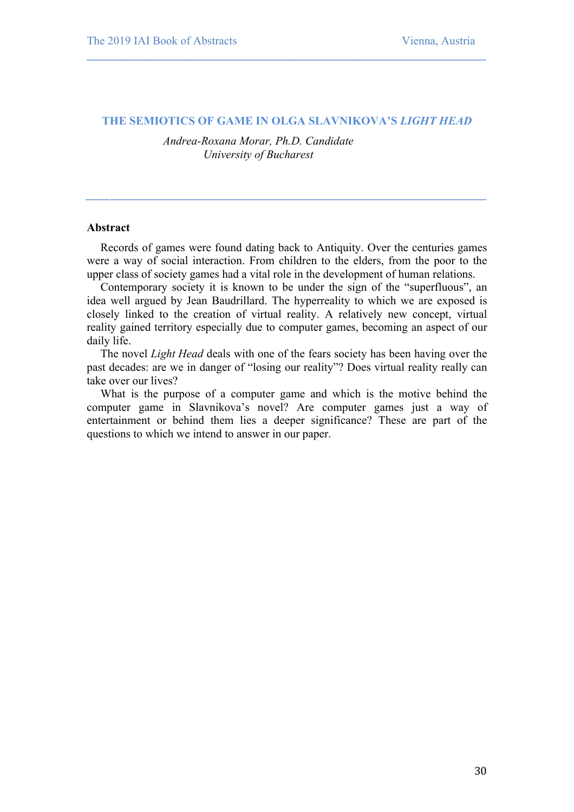#### **THE SEMIOTICS OF GAME IN OLGA SLAVNIKOVA'S** *LIGHT HEAD*

 $\mathcal{L} = \{ \mathcal{L} \mathcal{L} \mathcal{L} \mathcal{L} \mathcal{L} \mathcal{L} \mathcal{L} \mathcal{L} \mathcal{L} \mathcal{L} \mathcal{L} \mathcal{L} \mathcal{L} \mathcal{L} \mathcal{L} \mathcal{L} \mathcal{L} \mathcal{L} \mathcal{L} \mathcal{L} \mathcal{L} \mathcal{L} \mathcal{L} \mathcal{L} \mathcal{L} \mathcal{L} \mathcal{L} \mathcal{L} \mathcal{L} \mathcal{L} \mathcal{L} \mathcal{L} \mathcal{L} \mathcal{L} \mathcal{L} \$ 

*Andrea-Roxana Morar, Ph.D. Candidate University of Bucharest*

#### **Abstract**

Records of games were found dating back to Antiquity. Over the centuries games were a way of social interaction. From children to the elders, from the poor to the upper class of society games had a vital role in the development of human relations.

*\_\_\_\_***\_\_\_\_\_\_\_\_\_\_\_\_\_\_\_\_\_\_\_\_\_\_\_\_\_\_\_\_\_\_\_\_\_\_\_\_\_\_\_\_\_\_\_\_\_\_\_\_\_\_\_\_\_\_\_\_\_\_\_\_\_\_\_\_\_**

Contemporary society it is known to be under the sign of the "superfluous", an idea well argued by Jean Baudrillard. The hyperreality to which we are exposed is closely linked to the creation of virtual reality. A relatively new concept, virtual reality gained territory especially due to computer games, becoming an aspect of our daily life.

The novel *Light Head* deals with one of the fears society has been having over the past decades: are we in danger of "losing our reality"? Does virtual reality really can take over our lives?

What is the purpose of a computer game and which is the motive behind the computer game in Slavnikova's novel? Are computer games just a way of entertainment or behind them lies a deeper significance? These are part of the questions to which we intend to answer in our paper.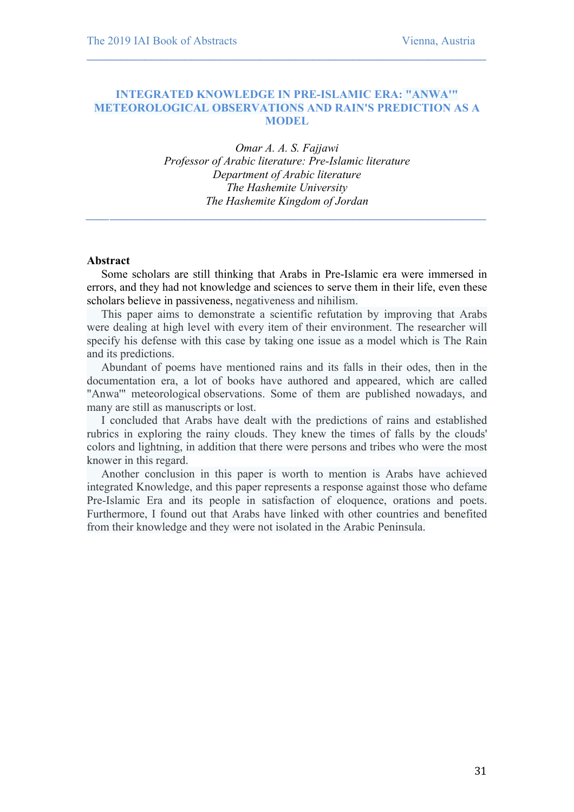#### **INTEGRATED KNOWLEDGE IN PRE-ISLAMIC ERA: "ANWA'" METEOROLOGICAL OBSERVATIONS AND RAIN'S PREDICTION AS A MODEL**

 $\mathcal{L} = \{ \mathcal{L} \mathcal{L} \mathcal{L} \mathcal{L} \mathcal{L} \mathcal{L} \mathcal{L} \mathcal{L} \mathcal{L} \mathcal{L} \mathcal{L} \mathcal{L} \mathcal{L} \mathcal{L} \mathcal{L} \mathcal{L} \mathcal{L} \mathcal{L} \mathcal{L} \mathcal{L} \mathcal{L} \mathcal{L} \mathcal{L} \mathcal{L} \mathcal{L} \mathcal{L} \mathcal{L} \mathcal{L} \mathcal{L} \mathcal{L} \mathcal{L} \mathcal{L} \mathcal{L} \mathcal{L} \mathcal{L} \$ 

*Omar A. A. S. Fajjawi Professor of Arabic literature: Pre-Islamic literature Department of Arabic literature The Hashemite University The Hashemite Kingdom of Jordan*

*\_\_\_\_***\_\_\_\_\_\_\_\_\_\_\_\_\_\_\_\_\_\_\_\_\_\_\_\_\_\_\_\_\_\_\_\_\_\_\_\_\_\_\_\_\_\_\_\_\_\_\_\_\_\_\_\_\_\_\_\_\_\_\_\_\_\_\_\_\_**

#### **Abstract**

Some scholars are still thinking that Arabs in Pre-Islamic era were immersed in errors, and they had not knowledge and sciences to serve them in their life, even these scholars believe in passiveness, negativeness and nihilism.

 This paper aims to demonstrate a scientific refutation by improving that Arabs were dealing at high level with every item of their environment. The researcher will specify his defense with this case by taking one issue as a model which is The Rain and its predictions.

 Abundant of poems have mentioned rains and its falls in their odes, then in the documentation era, a lot of books have authored and appeared, which are called "Anwa'" meteorological observations. Some of them are published nowadays, and many are still as manuscripts or lost.

 I concluded that Arabs have dealt with the predictions of rains and established rubrics in exploring the rainy clouds. They knew the times of falls by the clouds' colors and lightning, in addition that there were persons and tribes who were the most knower in this regard.

 Another conclusion in this paper is worth to mention is Arabs have achieved integrated Knowledge, and this paper represents a response against those who defame Pre-Islamic Era and its people in satisfaction of eloquence, orations and poets. Furthermore, I found out that Arabs have linked with other countries and benefited from their knowledge and they were not isolated in the Arabic Peninsula.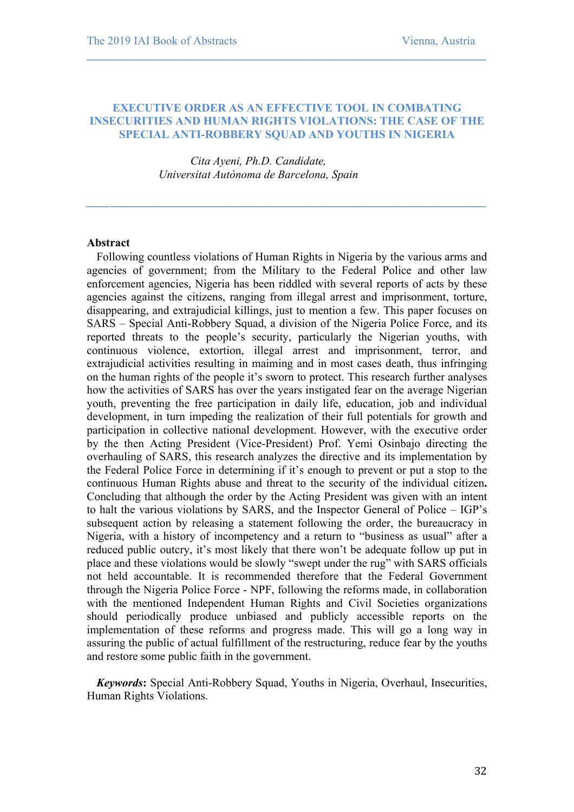#### **EXECUTIVE ORDER AS AN EFFECTIVE TOOL IN COMBATING INSECURITIES AND HUMAN RIGHTS VIOLATIONS: THE CASE OF THE SPECIAL ANTI-ROBBERY SQUAD AND YOUTHS IN NIGERIA**

*\_\_\_\_***\_\_\_\_\_\_\_\_\_\_\_\_\_\_\_\_\_\_\_\_\_\_\_\_\_\_\_\_\_\_\_\_\_\_\_\_\_\_\_\_\_\_\_\_\_\_\_\_\_\_\_\_\_\_\_\_\_\_\_\_\_\_\_\_\_**

 $\mathcal{L} = \{ \mathcal{L} \mathcal{L} \mathcal{L} \mathcal{L} \mathcal{L} \mathcal{L} \mathcal{L} \mathcal{L} \mathcal{L} \mathcal{L} \mathcal{L} \mathcal{L} \mathcal{L} \mathcal{L} \mathcal{L} \mathcal{L} \mathcal{L} \mathcal{L} \mathcal{L} \mathcal{L} \mathcal{L} \mathcal{L} \mathcal{L} \mathcal{L} \mathcal{L} \mathcal{L} \mathcal{L} \mathcal{L} \mathcal{L} \mathcal{L} \mathcal{L} \mathcal{L} \mathcal{L} \mathcal{L} \mathcal{L} \$ 

*Cita Ayeni, Ph.D. Candidate, Universitat Autònoma de Barcelona, Spain*

#### **Abstract**

Following countless violations of Human Rights in Nigeria by the various arms and agencies of government; from the Military to the Federal Police and other law enforcement agencies, Nigeria has been riddled with several reports of acts by these agencies against the citizens, ranging from illegal arrest and imprisonment, torture, disappearing, and extrajudicial killings, just to mention a few. This paper focuses on SARS – Special Anti-Robbery Squad, a division of the Nigeria Police Force, and its reported threats to the people's security, particularly the Nigerian youths, with continuous violence, extortion, illegal arrest and imprisonment, terror, and extrajudicial activities resulting in maiming and in most cases death, thus infringing on the human rights of the people it's sworn to protect. This research further analyses how the activities of SARS has over the years instigated fear on the average Nigerian youth, preventing the free participation in daily life, education, job and individual development, in turn impeding the realization of their full potentials for growth and participation in collective national development. However, with the executive order by the then Acting President (Vice-President) Prof. Yemi Osinbajo directing the overhauling of SARS, this research analyzes the directive and its implementation by the Federal Police Force in determining if it's enough to prevent or put a stop to the continuous Human Rights abuse and threat to the security of the individual citizen**.**  Concluding that although the order by the Acting President was given with an intent to halt the various violations by SARS, and the Inspector General of Police – IGP's subsequent action by releasing a statement following the order, the bureaucracy in Nigeria, with a history of incompetency and a return to "business as usual" after a reduced public outcry, it's most likely that there won't be adequate follow up put in place and these violations would be slowly "swept under the rug" with SARS officials not held accountable. It is recommended therefore that the Federal Government through the Nigeria Police Force - NPF, following the reforms made, in collaboration with the mentioned Independent Human Rights and Civil Societies organizations should periodically produce unbiased and publicly accessible reports on the implementation of these reforms and progress made. This will go a long way in assuring the public of actual fulfillment of the restructuring, reduce fear by the youths and restore some public faith in the government.

*Keywords***:** Special Anti-Robbery Squad, Youths in Nigeria, Overhaul, Insecurities, Human Rights Violations.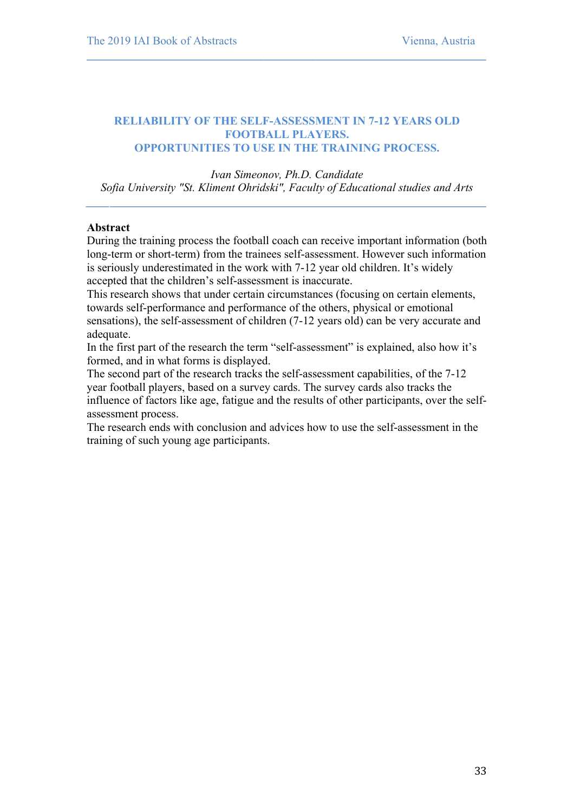# **RELIABILITY OF THE SELF-ASSESSMENT IN 7-12 YEARS OLD FOOTBALL PLAYERS. OPPORTUNITIES TO USE IN THE TRAINING PROCESS.**

 $\mathcal{L} = \{ \mathcal{L} \mathcal{L} \mathcal{L} \mathcal{L} \mathcal{L} \mathcal{L} \mathcal{L} \mathcal{L} \mathcal{L} \mathcal{L} \mathcal{L} \mathcal{L} \mathcal{L} \mathcal{L} \mathcal{L} \mathcal{L} \mathcal{L} \mathcal{L} \mathcal{L} \mathcal{L} \mathcal{L} \mathcal{L} \mathcal{L} \mathcal{L} \mathcal{L} \mathcal{L} \mathcal{L} \mathcal{L} \mathcal{L} \mathcal{L} \mathcal{L} \mathcal{L} \mathcal{L} \mathcal{L} \mathcal{L} \$ 

*Ivan Simeonov, Ph.D. Candidate Sofia University "St. Kliment Ohridski", Faculty of Educational studies and Arts*

*\_\_\_\_***\_\_\_\_\_\_\_\_\_\_\_\_\_\_\_\_\_\_\_\_\_\_\_\_\_\_\_\_\_\_\_\_\_\_\_\_\_\_\_\_\_\_\_\_\_\_\_\_\_\_\_\_\_\_\_\_\_\_\_\_\_\_\_\_\_**

# **Abstract**

During the training process the football coach can receive important information (both long-term or short-term) from the trainees self-assessment. However such information is seriously underestimated in the work with 7-12 year old children. It's widely accepted that the children's self-assessment is inaccurate.

This research shows that under certain circumstances (focusing on certain elements, towards self-performance and performance of the others, physical or emotional sensations), the self-assessment of children (7-12 years old) can be very accurate and adequate.

In the first part of the research the term "self-assessment" is explained, also how it's formed, and in what forms is displayed.

The second part of the research tracks the self-assessment capabilities, of the 7-12 year football players, based on a survey cards. The survey cards also tracks the influence of factors like age, fatigue and the results of other participants, over the selfassessment process.

The research ends with conclusion and advices how to use the self-assessment in the training of such young age participants.